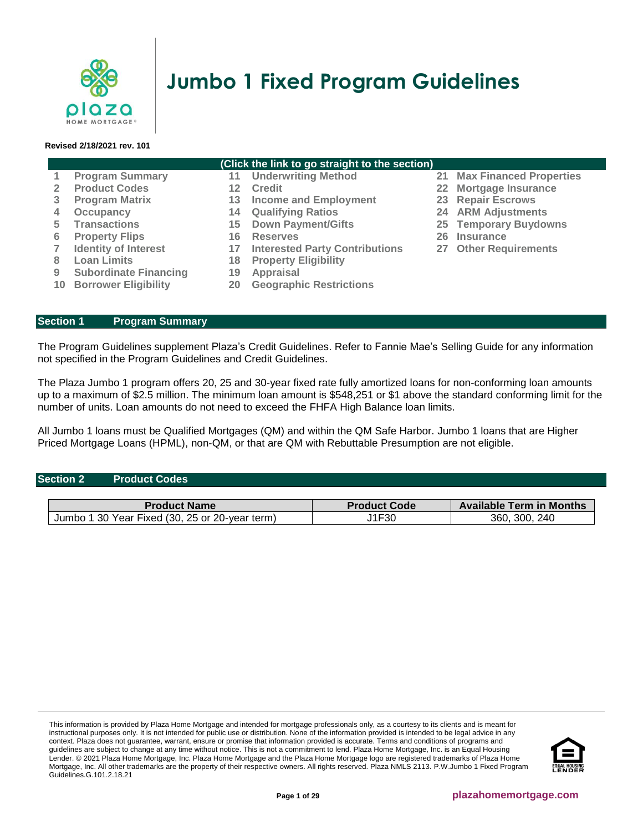

# **Jumbo 1 Fixed Program Guidelines**

#### **Revised 2/18/2021 rev. 101**

|   | (Click the link to go straight to the section) |    |                                       |  |                                   |  |  |
|---|------------------------------------------------|----|---------------------------------------|--|-----------------------------------|--|--|
|   | <b>Program Summary</b>                         |    | 11 Underwriting Method                |  | <b>21 Max Financed Properties</b> |  |  |
|   | <b>Product Codes</b>                           | 12 | <b>Credit</b>                         |  | 22 Mortgage Insurance             |  |  |
|   | <b>Program Matrix</b>                          | 13 | <b>Income and Employment</b>          |  | 23 Repair Escrows                 |  |  |
| 4 | Occupancy                                      | 14 | <b>Qualifying Ratios</b>              |  | <b>24 ARM Adjustments</b>         |  |  |
| 5 | <b>Transactions</b>                            | 15 | <b>Down Payment/Gifts</b>             |  | 25 Temporary Buydowns             |  |  |
| 6 | <b>Property Flips</b>                          | 16 | <b>Reserves</b>                       |  | 26 Insurance                      |  |  |
|   | <b>Identity of Interest</b>                    | 17 | <b>Interested Party Contributions</b> |  | 27 Other Requirements             |  |  |
| 8 | <b>Loan Limits</b>                             | 18 | <b>Property Eligibility</b>           |  |                                   |  |  |
| 9 | <b>Subordinate Financing</b>                   | 19 | Appraisal                             |  |                                   |  |  |
|   | <b>10 Borrower Eligibility</b>                 | 20 | <b>Geographic Restrictions</b>        |  |                                   |  |  |

## <span id="page-0-0"></span>**Section 1 [Program Summary](#page-0-0)**

The Program Guidelines supplement Plaza's Credit Guidelines. Refer to Fannie Mae's Selling Guide for any information not specified in the Program Guidelines and Credit Guidelines.

The Plaza Jumbo 1 program offers 20, 25 and 30-year fixed rate fully amortized loans for non-conforming loan amounts up to a maximum of \$2.5 million. The minimum loan amount is \$548,251 or \$1 above the standard conforming limit for the number of units. Loan amounts do not need to exceed the FHFA High Balance loan limits.

All Jumbo 1 loans must be Qualified Mortgages (QM) and within the QM Safe Harbor. Jumbo 1 loans that are Higher Priced Mortgage Loans (HPML), non-QM, or that are QM with Rebuttable Presumption are not eligible.

#### <span id="page-0-1"></span>**Section 2 Product Codes**

| <b>Product Name</b>                             | <b>Product Code</b> | <b>Available Term in Months</b> |
|-------------------------------------------------|---------------------|---------------------------------|
| 30 Year Fixed (30, 25 or 20-year term)<br>Jumbc | J1F30               | 240<br>360.<br>300              |

This information is provided by Plaza Home Mortgage and intended for mortgage professionals only, as a courtesy to its clients and is meant for instructional purposes only. It is not intended for public use or distribution. None of the information provided is intended to be legal advice in any context. Plaza does not guarantee, warrant, ensure or promise that information provided is accurate. Terms and conditions of programs and guidelines are subject to change at any time without notice. This is not a commitment to lend. Plaza Home Mortgage, Inc. is an Equal Housing Lender. © 2021 Plaza Home Mortgage, Inc. Plaza Home Mortgage and the Plaza Home Mortgage logo are registered trademarks of Plaza Home Mortgage, Inc. All other trademarks are the property of their respective owners. All rights reserved. Plaza NMLS 2113. P.W.Jumbo 1 Fixed Program Guidelines.G.101.2.18.21

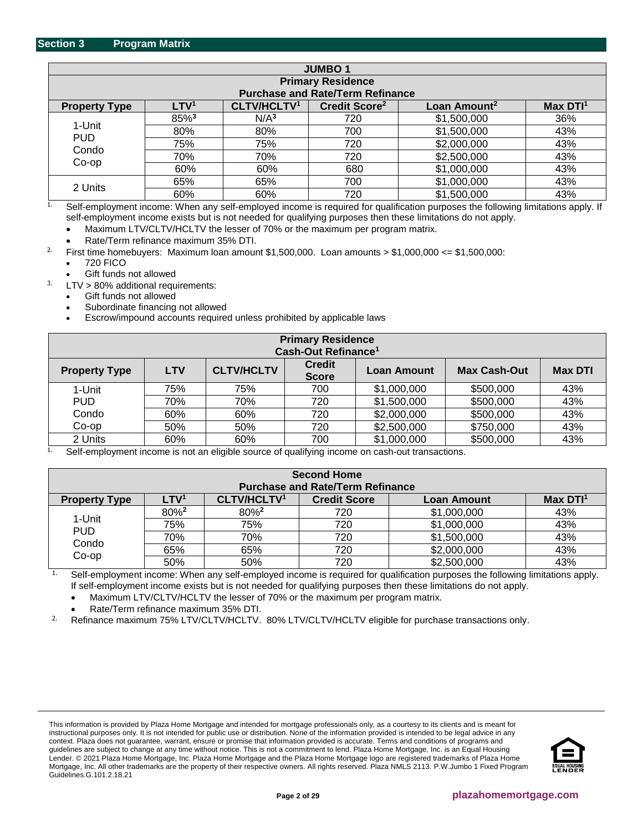<span id="page-1-0"></span>

| <b>JUMBO1</b>        |                          |                         |                                         |                          |                     |  |
|----------------------|--------------------------|-------------------------|-----------------------------------------|--------------------------|---------------------|--|
|                      | <b>Primary Residence</b> |                         |                                         |                          |                     |  |
|                      |                          |                         | <b>Purchase and Rate/Term Refinance</b> |                          |                     |  |
| <b>Property Type</b> | LTV <sup>1</sup>         | CLTV/HCLTV <sup>1</sup> | Credit Score <sup>2</sup>               | Loan Amount <sup>2</sup> | Max DT <sup>1</sup> |  |
|                      | 85%3                     | N/A <sup>3</sup>        | 720                                     | \$1,500,000              | 36%                 |  |
| 1-Unit               | 80%                      | 80%                     | 700                                     | \$1,500,000              | 43%                 |  |
| <b>PUD</b><br>Condo  | 75%                      | 75%                     | 720                                     | \$2,000,000              | 43%                 |  |
| $Co$ -op             | 70%                      | 70%                     | 720                                     | \$2,500,000              | 43%                 |  |
|                      | 60%                      | 60%                     | 680                                     | \$1,000,000              | 43%                 |  |
|                      | 65%                      | 65%                     | 700                                     | \$1,000,000              | 43%                 |  |
| 2 Units              | 60%                      | 60%                     | 720                                     | \$1,500,000              | 43%                 |  |

<sup>1.</sup> Self-employment income: When any self-employed income is required for qualification purposes the following limitations apply. If self-employment income exists but is not needed for qualifying purposes then these limitations do not apply.

• Maximum LTV/CLTV/HCLTV the lesser of 70% or the maximum per program matrix.

• Rate/Term refinance maximum 35% DTI.

<sup>2.</sup> First time homebuyers: Maximum loan amount  $$1,500,000$ . Loan amounts >  $$1,000,000 <$  <=  $$1,500,000$ :

- 720 FICO
- Gift funds not allowed

 $3.$  LTV  $> 80\%$  additional requirements:

- Gift funds not allowed
- Subordinate financing not allowed
- Escrow/impound accounts required unless prohibited by applicable laws

| <b>Primary Residence</b><br>Cash-Out Refinance <sup>1</sup> |            |                   |                               |                    |                     |                |
|-------------------------------------------------------------|------------|-------------------|-------------------------------|--------------------|---------------------|----------------|
| <b>Property Type</b>                                        | <b>LTV</b> | <b>CLTV/HCLTV</b> | <b>Credit</b><br><b>Score</b> | <b>Loan Amount</b> | <b>Max Cash-Out</b> | <b>Max DTI</b> |
| 1-Unit                                                      | 75%        | 75%               | 700                           | \$1,000,000        | \$500,000           | 43%            |
| <b>PUD</b>                                                  | 70%        | 70%               | 720                           | \$1,500,000        | \$500,000           | 43%            |
| Condo                                                       | 60%        | 60%               | 720                           | \$2,000,000        | \$500,000           | 43%            |
| $Co$ -op                                                    | 50%        | 50%               | 720                           | \$2,500,000        | \$750,000           | 43%            |
| 2 Units<br>$\sim$ $\sim$                                    | 60%        | 60%<br>.          | 700<br>$\cdots$               | \$1,000,000        | \$500,000           | 43%            |

Self-employment income is not an eligible source of qualifying income on cash-out transactions.

| <b>Second Home</b><br><b>Purchase and Rate/Term Refinance</b> |                  |                    |                     |                    |                     |
|---------------------------------------------------------------|------------------|--------------------|---------------------|--------------------|---------------------|
| <b>Property Type</b>                                          | LTV <sup>1</sup> | <b>CLTV/HCLTV1</b> | <b>Credit Score</b> | <b>Loan Amount</b> | Max DT <sup>1</sup> |
|                                                               | 80% <sup>2</sup> | 80% <sup>2</sup>   | 720                 | \$1,000,000        | 43%                 |
| 1-Unit<br><b>PUD</b>                                          | 75%              | 75%                | 720                 | \$1,000,000        | 43%                 |
| Condo                                                         | 70%              | 70%                | 720                 | \$1,500,000        | 43%                 |
| Co-op                                                         | 65%              | 65%                | 720                 | \$2,000,000        | 43%                 |
|                                                               | 50%              | 50%                | 720                 | \$2,500,000        | 43%                 |

<sup>1.</sup> Self-employment income: When any self-employed income is required for qualification purposes the following limitations apply. If self-employment income exists but is not needed for qualifying purposes then these limitations do not apply.

• Maximum LTV/CLTV/HCLTV the lesser of 70% or the maximum per program matrix.

• Rate/Term refinance maximum 35% DTI.

<sup>2.</sup> Refinance maximum 75% LTV/CLTV/HCLTV. 80% LTV/CLTV/HCLTV eligible for purchase transactions only.

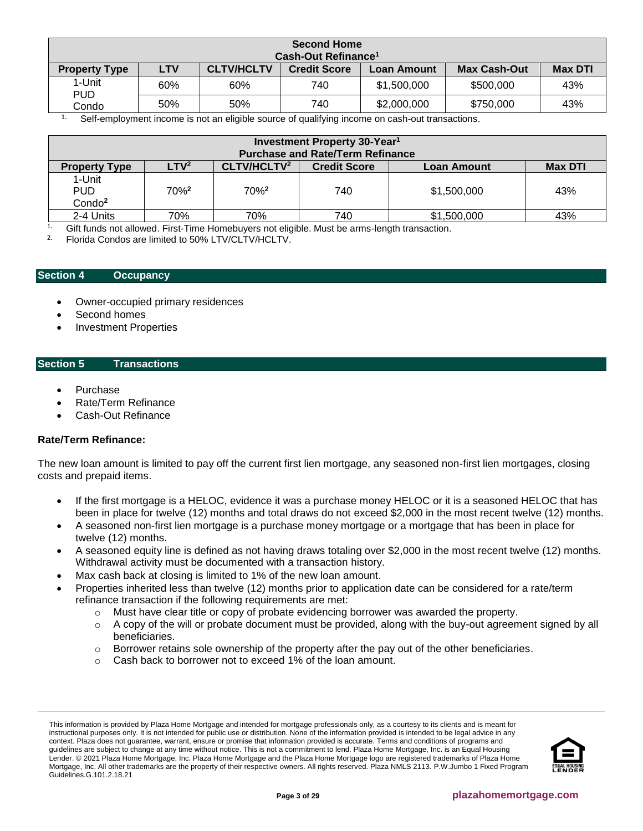| <b>Second Home</b>   |                                 |                   |                     |                    |                     |                |  |
|----------------------|---------------------------------|-------------------|---------------------|--------------------|---------------------|----------------|--|
|                      | Cash-Out Refinance <sup>1</sup> |                   |                     |                    |                     |                |  |
| <b>Property Type</b> | <b>LTV</b>                      | <b>CLTV/HCLTV</b> | <b>Credit Score</b> | <b>Loan Amount</b> | <b>Max Cash-Out</b> | <b>Max DTI</b> |  |
| 1-Unit<br><b>PUD</b> | 60%                             | 60%               | 740                 | \$1,500,000        | \$500,000           | 43%            |  |
| Condo                | 50%                             | 50%               | 740                 | \$2,000,000        | \$750,000           | 43%            |  |
| $\sim$ $\cdot$       |                                 | .                 | $\cdots$            | $\sim$ $\sim$      |                     |                |  |

 $1.$  Self-employment income is not an eligible source of qualifying income on cash-out transactions.

| Investment Property 30-Year <sup>1</sup>   |                  |                         |                                         |                    |                |
|--------------------------------------------|------------------|-------------------------|-----------------------------------------|--------------------|----------------|
|                                            |                  |                         | <b>Purchase and Rate/Term Refinance</b> |                    |                |
| <b>Property Type</b>                       | LTV <sup>2</sup> | CLTV/HCLTV <sup>2</sup> | <b>Credit Score</b>                     | <b>Loan Amount</b> | <b>Max DTI</b> |
| 1-Unit<br><b>PUD</b><br>Condo <sup>2</sup> | 70% <sup>2</sup> | $70\%$ <sup>2</sup>     | 740                                     | \$1,500,000        | 43%            |
| 2-4 Units                                  | 70%              | 70%                     | 740                                     | \$1,500,000        | 43%            |

<sup>1.</sup> Gift funds not allowed. First-Time Homebuyers not eligible. Must be arms-length transaction.

2. Florida Condos are limited to 50% LTV/CLTV/HCLTV.

## <span id="page-2-0"></span>**Section 4 [Occupancy](#page-6-0)**

- Owner-occupied primary residences
- Second homes
- Investment Properties

## <span id="page-2-1"></span>**Section 5 Transactions**

- Purchase
- Rate/Term Refinance
- Cash-Out Refinance

## **Rate/Term Refinance:**

The new loan amount is limited to pay off the current first lien mortgage, any seasoned non-first lien mortgages, closing costs and prepaid items.

- If the first mortgage is a HELOC, evidence it was a purchase money HELOC or it is a seasoned HELOC that has been in place for twelve (12) months and total draws do not exceed \$2,000 in the most recent twelve (12) months.
- A seasoned non-first lien mortgage is a purchase money mortgage or a mortgage that has been in place for twelve (12) months.
- A seasoned equity line is defined as not having draws totaling over \$2,000 in the most recent twelve (12) months. Withdrawal activity must be documented with a transaction history.
- Max cash back at closing is limited to 1% of the new loan amount.
- Properties inherited less than twelve (12) months prior to application date can be considered for a rate/term refinance transaction if the following requirements are met:
	- o Must have clear title or copy of probate evidencing borrower was awarded the property.
	- $\circ$  A copy of the will or probate document must be provided, along with the buy-out agreement signed by all beneficiaries.
	- $\circ$  Borrower retains sole ownership of the property after the pay out of the other beneficiaries.
	- o Cash back to borrower not to exceed 1% of the loan amount.

This information is provided by Plaza Home Mortgage and intended for mortgage professionals only, as a courtesy to its clients and is meant for instructional purposes only. It is not intended for public use or distribution. None of the information provided is intended to be legal advice in any context. Plaza does not guarantee, warrant, ensure or promise that information provided is accurate. Terms and conditions of programs and guidelines are subject to change at any time without notice. This is not a commitment to lend. Plaza Home Mortgage, Inc. is an Equal Housing Lender. © 2021 Plaza Home Mortgage, Inc. Plaza Home Mortgage and the Plaza Home Mortgage logo are registered trademarks of Plaza Home Mortgage, Inc. All other trademarks are the property of their respective owners. All rights reserved. Plaza NMLS 2113. P.W.Jumbo 1 Fixed Program Guidelines.G.101.2.18.21

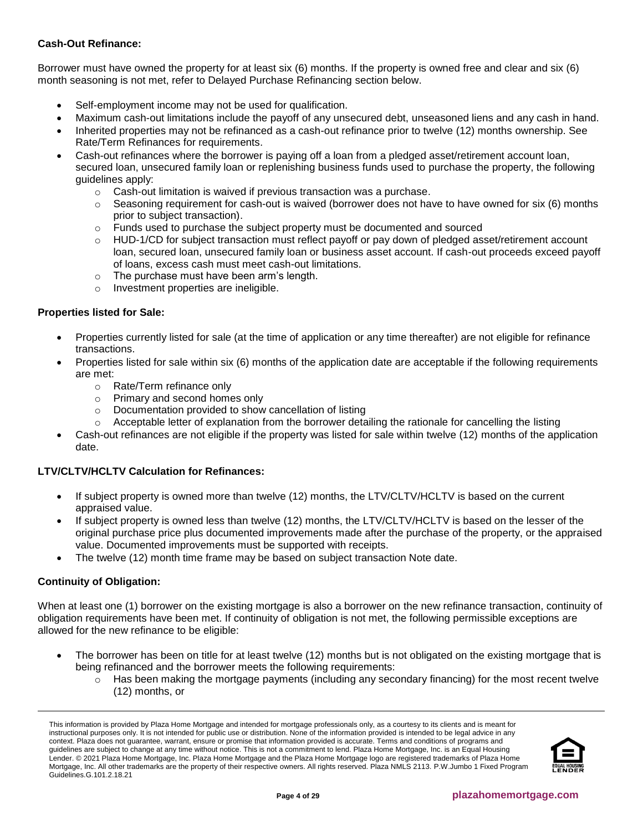## **Cash-Out Refinance:**

Borrower must have owned the property for at least six (6) months. If the property is owned free and clear and six (6) month seasoning is not met, refer to Delayed Purchase Refinancing section below.

- Self-employment income may not be used for qualification.
- Maximum cash-out limitations include the payoff of any unsecured debt, unseasoned liens and any cash in hand.
- Inherited properties may not be refinanced as a cash-out refinance prior to twelve (12) months ownership. See Rate/Term Refinances for requirements.
- Cash-out refinances where the borrower is paying off a loan from a pledged asset/retirement account loan, secured loan, unsecured family loan or replenishing business funds used to purchase the property, the following guidelines apply:
	- o Cash-out limitation is waived if previous transaction was a purchase.
	- $\circ$  Seasoning requirement for cash-out is waived (borrower does not have to have owned for six (6) months prior to subject transaction).
	- $\circ$  Funds used to purchase the subject property must be documented and sourced
	- $\circ$  HUD-1/CD for subject transaction must reflect payoff or pay down of pledged asset/retirement account loan, secured loan, unsecured family loan or business asset account. If cash-out proceeds exceed payoff of loans, excess cash must meet cash-out limitations.
	- o The purchase must have been arm's length.
	- o Investment properties are ineligible.

## **Properties listed for Sale:**

- Properties currently listed for sale (at the time of application or any time thereafter) are not eligible for refinance transactions.
- Properties listed for sale within six (6) months of the application date are acceptable if the following requirements are met:
	- o Rate/Term refinance only
	- o Primary and second homes only
	- o Documentation provided to show cancellation of listing
	- $\circ$  Acceptable letter of explanation from the borrower detailing the rationale for cancelling the listing
- Cash-out refinances are not eligible if the property was listed for sale within twelve (12) months of the application date.

## **LTV/CLTV/HCLTV Calculation for Refinances:**

- If subject property is owned more than twelve (12) months, the LTV/CLTV/HCLTV is based on the current appraised value.
- If subject property is owned less than twelve (12) months, the LTV/CLTV/HCLTV is based on the lesser of the original purchase price plus documented improvements made after the purchase of the property, or the appraised value. Documented improvements must be supported with receipts.
- The twelve (12) month time frame may be based on subject transaction Note date.

## **Continuity of Obligation:**

When at least one (1) borrower on the existing mortgage is also a borrower on the new refinance transaction, continuity of obligation requirements have been met. If continuity of obligation is not met, the following permissible exceptions are allowed for the new refinance to be eligible:

- The borrower has been on title for at least twelve (12) months but is not obligated on the existing mortgage that is being refinanced and the borrower meets the following requirements:
	- $\circ$  Has been making the mortgage payments (including any secondary financing) for the most recent twelve (12) months, or

This information is provided by Plaza Home Mortgage and intended for mortgage professionals only, as a courtesy to its clients and is meant for instructional purposes only. It is not intended for public use or distribution. None of the information provided is intended to be legal advice in any context. Plaza does not guarantee, warrant, ensure or promise that information provided is accurate. Terms and conditions of programs and guidelines are subject to change at any time without notice. This is not a commitment to lend. Plaza Home Mortgage, Inc. is an Equal Housing Lender. © 2021 Plaza Home Mortgage, Inc. Plaza Home Mortgage and the Plaza Home Mortgage logo are registered trademarks of Plaza Home Mortgage, Inc. All other trademarks are the property of their respective owners. All rights reserved. Plaza NMLS 2113. P.W.Jumbo 1 Fixed Program Guidelines.G.101.2.18.21

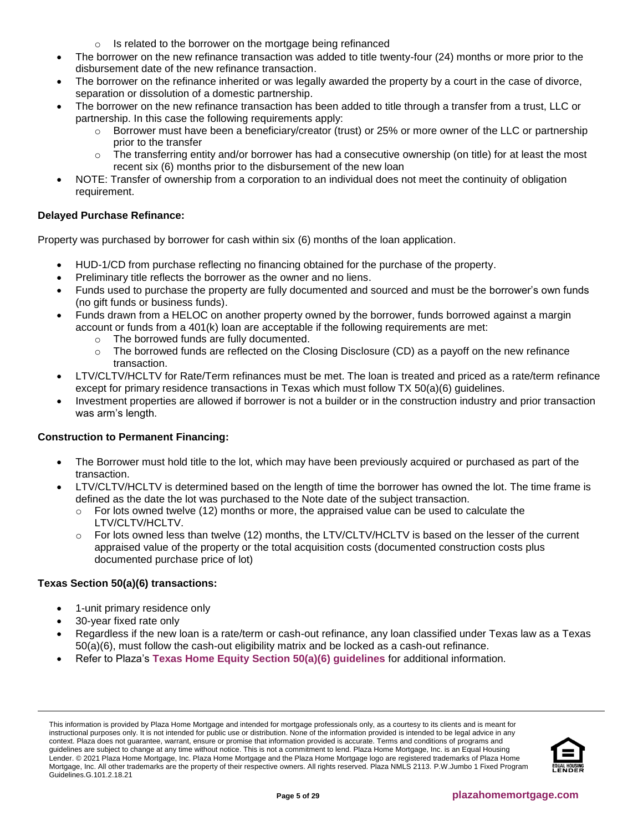- Is related to the borrower on the mortgage being refinanced
- The borrower on the new refinance transaction was added to title twenty-four (24) months or more prior to the disbursement date of the new refinance transaction.
- The borrower on the refinance inherited or was legally awarded the property by a court in the case of divorce, separation or dissolution of a domestic partnership.
- The borrower on the new refinance transaction has been added to title through a transfer from a trust, LLC or partnership. In this case the following requirements apply:
	- $\circ$  Borrower must have been a beneficiary/creator (trust) or 25% or more owner of the LLC or partnership prior to the transfer
	- The transferring entity and/or borrower has had a consecutive ownership (on title) for at least the most recent six (6) months prior to the disbursement of the new loan
- NOTE: Transfer of ownership from a corporation to an individual does not meet the continuity of obligation requirement.

## **Delayed Purchase Refinance:**

Property was purchased by borrower for cash within six (6) months of the loan application.

- HUD-1/CD from purchase reflecting no financing obtained for the purchase of the property.
- Preliminary title reflects the borrower as the owner and no liens.
- Funds used to purchase the property are fully documented and sourced and must be the borrower's own funds (no gift funds or business funds).
- Funds drawn from a HELOC on another property owned by the borrower, funds borrowed against a margin account or funds from a 401(k) loan are acceptable if the following requirements are met:
	- o The borrowed funds are fully documented.
	- The borrowed funds are reflected on the Closing Disclosure (CD) as a payoff on the new refinance transaction.
- LTV/CLTV/HCLTV for Rate/Term refinances must be met. The loan is treated and priced as a rate/term refinance except for primary residence transactions in Texas which must follow TX 50(a)(6) guidelines.
- Investment properties are allowed if borrower is not a builder or in the construction industry and prior transaction was arm's length.

## **Construction to Permanent Financing:**

- The Borrower must hold title to the lot, which may have been previously acquired or purchased as part of the transaction.
- LTV/CLTV/HCLTV is determined based on the length of time the borrower has owned the lot. The time frame is defined as the date the lot was purchased to the Note date of the subject transaction.
	- $\circ$  For lots owned twelve (12) months or more, the appraised value can be used to calculate the LTV/CLTV/HCLTV.
	- $\circ$  For lots owned less than twelve (12) months, the LTV/CLTV/HCLTV is based on the lesser of the current appraised value of the property or the total acquisition costs (documented construction costs plus documented purchase price of lot)

## **Texas Section 50(a)(6) transactions:**

- 1-unit primary residence only
- 30-year fixed rate only
- Regardless if the new loan is a rate/term or cash-out refinance, any loan classified under Texas law as a Texas 50(a)(6), must follow the cash-out eligibility matrix and be locked as a cash-out refinance.
- Refer to Plaza's **[Texas Home Equity Section 50\(a\)\(6\) guidelines](https://resourcecenter.plazahomemortgage.com/phmidocpublisher.nsf/All/398C9C3CD1AEE982072579CF0070FEBB?OpenDocument)** for additional information.

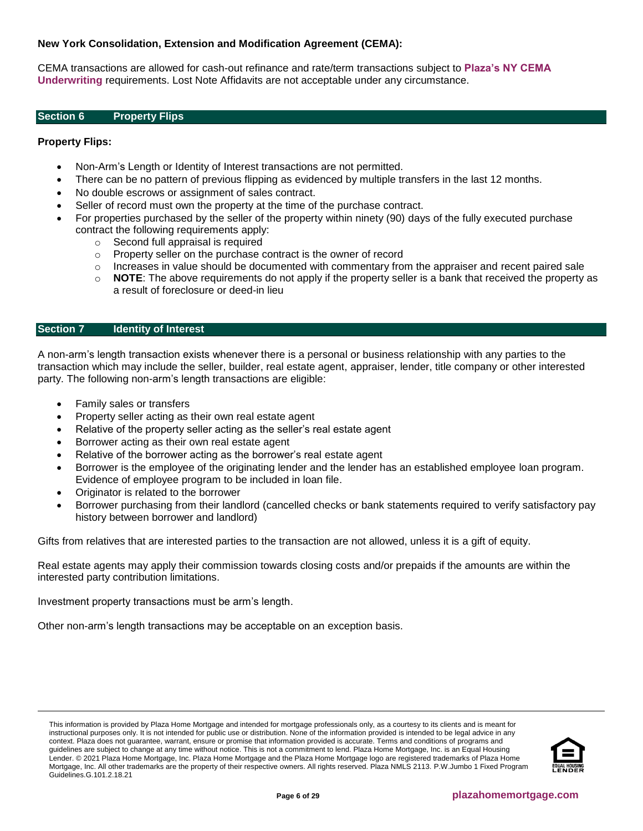## **New York Consolidation, Extension and Modification Agreement (CEMA):**

CEMA transactions are allowed for cash-out refinance and rate/term transactions subject to **[Plaza's NY CEMA](https://resourcecenter.plazahomemortgage.com/phmidocpublisher.nsf/All/9384F0C91F00A1C088257F630077E55B?OpenDocument)  [Underwriting](https://resourcecenter.plazahomemortgage.com/phmidocpublisher.nsf/All/9384F0C91F00A1C088257F630077E55B?OpenDocument)** requirements. Lost Note Affidavits are not acceptable under any circumstance.

#### <span id="page-5-0"></span>**Section 6 Property Flips**

## **Property Flips:**

- Non-Arm's Length or Identity of Interest transactions are not permitted.
- There can be no pattern of previous flipping as evidenced by multiple transfers in the last 12 months.
- No double escrows or assignment of sales contract.
- Seller of record must own the property at the time of the purchase contract.
- For properties purchased by the seller of the property within ninety (90) days of the fully executed purchase contract the following requirements apply:
	- o Second full appraisal is required
	- o Property seller on the purchase contract is the owner of record
	- $\circ$  Increases in value should be documented with commentary from the appraiser and recent paired sale
	- o **NOTE**: The above requirements do not apply if the property seller is a bank that received the property as a result of foreclosure or deed-in lieu

## <span id="page-5-1"></span>**Section 7 Identity of Interest**

A non-arm's length transaction exists whenever there is a personal or business relationship with any parties to the transaction which may include the seller, builder, real estate agent, appraiser, lender, title company or other interested party. The following non-arm's length transactions are eligible:

- Family sales or transfers
- Property seller acting as their own real estate agent
- Relative of the property seller acting as the seller's real estate agent
- Borrower acting as their own real estate agent
- Relative of the borrower acting as the borrower's real estate agent
- Borrower is the employee of the originating lender and the lender has an established employee loan program. Evidence of employee program to be included in loan file.
- Originator is related to the borrower
- Borrower purchasing from their landlord (cancelled checks or bank statements required to verify satisfactory pay history between borrower and landlord)

Gifts from relatives that are interested parties to the transaction are not allowed, unless it is a gift of equity.

Real estate agents may apply their commission towards closing costs and/or prepaids if the amounts are within the interested party contribution limitations.

Investment property transactions must be arm's length.

Other non-arm's length transactions may be acceptable on an exception basis.

This information is provided by Plaza Home Mortgage and intended for mortgage professionals only, as a courtesy to its clients and is meant for instructional purposes only. It is not intended for public use or distribution. None of the information provided is intended to be legal advice in any context. Plaza does not guarantee, warrant, ensure or promise that information provided is accurate. Terms and conditions of programs and guidelines are subject to change at any time without notice. This is not a commitment to lend. Plaza Home Mortgage, Inc. is an Equal Housing Lender. © 2021 Plaza Home Mortgage, Inc. Plaza Home Mortgage and the Plaza Home Mortgage logo are registered trademarks of Plaza Home Mortgage, Inc. All other trademarks are the property of their respective owners. All rights reserved. Plaza NMLS 2113. P.W.Jumbo 1 Fixed Program Guidelines.G.101.2.18.21

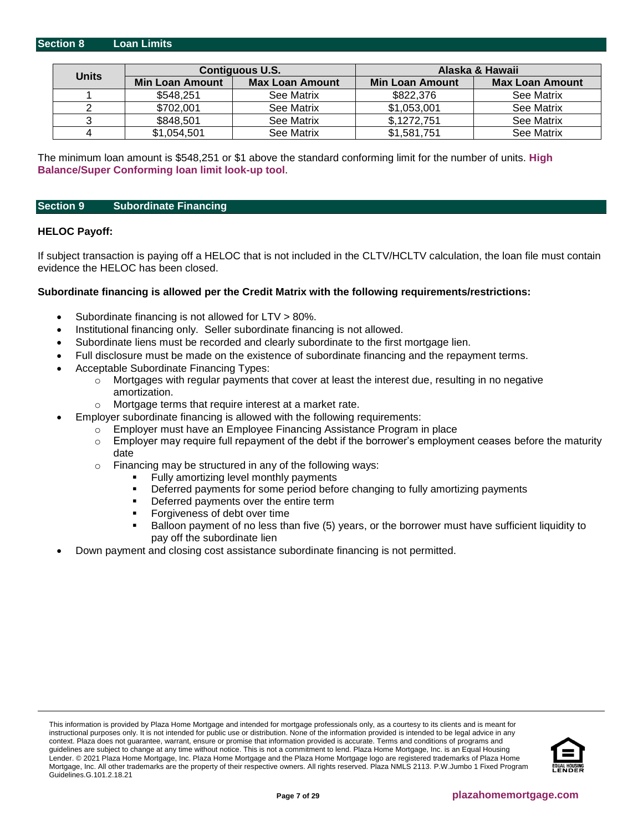<span id="page-6-0"></span>

|              |                 | <b>Contiguous U.S.</b> |                        | Alaska & Hawaii        |
|--------------|-----------------|------------------------|------------------------|------------------------|
| <b>Units</b> | Min Loan Amount | <b>Max Loan Amount</b> | <b>Min Loan Amount</b> | <b>Max Loan Amount</b> |
|              | \$548,251       | See Matrix             | \$822,376              | See Matrix             |
|              | \$702,001       | See Matrix             | \$1,053,001            | See Matrix             |
|              | \$848,501       | See Matrix             | \$,1272,751            | See Matrix             |
|              | \$1,054,501     | See Matrix             | \$1,581,751            | See Matrix             |

The minimum loan amount is \$548,251 or \$1 above the standard conforming limit for the number of units. **[High](https://www.fanniemae.com/singlefamily/loan-limits) [Balance/Super Conforming loan limit look-up tool](https://www.fanniemae.com/singlefamily/loan-limits)**.

#### <span id="page-6-1"></span>**Section 9 Subordinate Financing**

#### **HELOC Payoff:**

If subject transaction is paying off a HELOC that is not included in the CLTV/HCLTV calculation, the loan file must contain evidence the HELOC has been closed.

#### **Subordinate financing is allowed per the Credit Matrix with the following requirements/restrictions:**

- Subordinate financing is not allowed for LTV > 80%.
- Institutional financing only. Seller subordinate financing is not allowed.
- Subordinate liens must be recorded and clearly subordinate to the first mortgage lien.
- Full disclosure must be made on the existence of subordinate financing and the repayment terms.
- Acceptable Subordinate Financing Types:
	- $\circ$  Mortgages with regular payments that cover at least the interest due, resulting in no negative amortization.
	- o Mortgage terms that require interest at a market rate.
- Employer subordinate financing is allowed with the following requirements:
	- Employer must have an Employee Financing Assistance Program in place
		- $\circ$  Employer may require full repayment of the debt if the borrower's employment ceases before the maturity date
	- o Financing may be structured in any of the following ways:
		- Fully amortizing level monthly payments
		- **•** Deferred payments for some period before changing to fully amortizing payments
		- **•** Deferred payments over the entire term
		- Forgiveness of debt over time
		- Balloon payment of no less than five (5) years, or the borrower must have sufficient liquidity to pay off the subordinate lien
- Down payment and closing cost assistance subordinate financing is not permitted.

This information is provided by Plaza Home Mortgage and intended for mortgage professionals only, as a courtesy to its clients and is meant for instructional purposes only. It is not intended for public use or distribution. None of the information provided is intended to be legal advice in any context. Plaza does not guarantee, warrant, ensure or promise that information provided is accurate. Terms and conditions of programs and guidelines are subject to change at any time without notice. This is not a commitment to lend. Plaza Home Mortgage, Inc. is an Equal Housing Lender. © 2021 Plaza Home Mortgage, Inc. Plaza Home Mortgage and the Plaza Home Mortgage logo are registered trademarks of Plaza Home Mortgage, Inc. All other trademarks are the property of their respective owners. All rights reserved. Plaza NMLS 2113. P.W.Jumbo 1 Fixed Program Guidelines.G.101.2.18.21

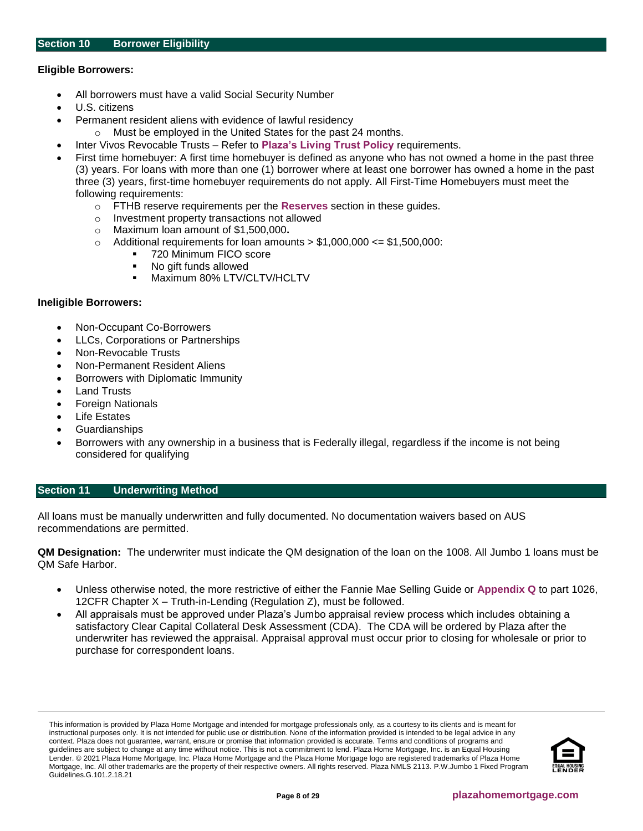## <span id="page-7-1"></span>**Eligible Borrowers:**

- All borrowers must have a valid Social Security Number
- U.S. citizens
- Permanent resident aliens with evidence of lawful residency
- Must be employed in the United States for the past 24 months.
- Inter Vivos Revocable Trusts Refer to **[Plaza's Living Trust Policy](https://resourcecenter.plazahomemortgage.com/phmidocpublisher.nsf/All/2C8D5371893995E807257B66007577A4?OpenDocument)** requirements.
- First time homebuyer: A first time homebuyer is defined as anyone who has not owned a home in the past three (3) years. For loans with more than one (1) borrower where at least one borrower has owned a home in the past three (3) years, first-time homebuyer requirements do not apply. All First-Time Homebuyers must meet the following requirements:
	- o FTHB reserve requirements per the **[Reserves](#page-23-0)** section in these guides.
	- o Investment property transactions not allowed
	- o Maximum loan amount of \$1,500,000**.**
	- $\circ$  Additional requirements for loan amounts  $> $1,000,000 \le $1,500,000$ :
		- 720 Minimum FICO score
			- No gift funds allowed
			- **■** Maximum 80% LTV/CLTV/HCLTV

## **Ineligible Borrowers:**

- Non-Occupant Co-Borrowers
- LLCs, Corporations or Partnerships
- Non-Revocable Trusts
- Non-Permanent Resident Aliens
- Borrowers with Diplomatic Immunity
- **Land Trusts**
- Foreign Nationals
- **Life Estates**
- **Guardianships**
- Borrowers with any ownership in a business that is Federally illegal, regardless if the income is not being considered for qualifying

## <span id="page-7-0"></span>**Section 11 [Underwriting Method](#page-7-0)**

All loans must be manually underwritten and fully documented. No documentation waivers based on AUS recommendations are permitted.

**QM Designation:** The underwriter must indicate the QM designation of the loan on the 1008. All Jumbo 1 loans must be QM Safe Harbor.

- Unless otherwise noted, the more restrictive of either the Fannie Mae Selling Guide or **[Appendix Q](http://www.consumerfinance.gov/eregulations/1026-Q/2013-30108_20140118#1026-Q-p1)** to part 1026, 12CFR Chapter X – Truth-in-Lending (Regulation Z), must be followed.
- All appraisals must be approved under Plaza's Jumbo appraisal review process which includes obtaining a satisfactory Clear Capital Collateral Desk Assessment (CDA). The CDA will be ordered by Plaza after the underwriter has reviewed the appraisal. Appraisal approval must occur prior to closing for wholesale or prior to purchase for correspondent loans.

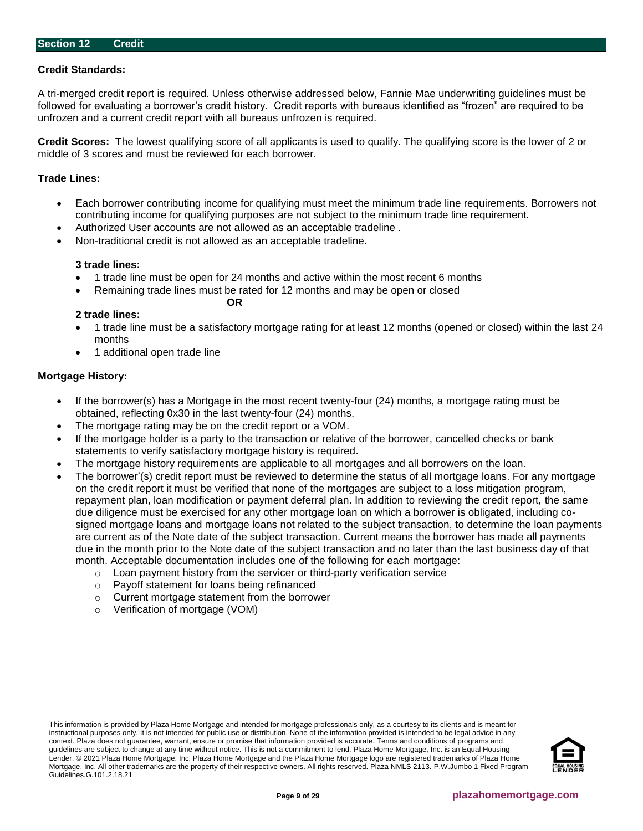## <span id="page-8-0"></span>**Credit Standards:**

A tri-merged credit report is required. Unless otherwise addressed below, Fannie Mae underwriting guidelines must be followed for evaluating a borrower's credit history. Credit reports with bureaus identified as "frozen" are required to be unfrozen and a current credit report with all bureaus unfrozen is required.

**Credit Scores:** The lowest qualifying score of all applicants is used to qualify. The qualifying score is the lower of 2 or middle of 3 scores and must be reviewed for each borrower.

#### **Trade Lines:**

- Each borrower contributing income for qualifying must meet the minimum trade line requirements. Borrowers not contributing income for qualifying purposes are not subject to the minimum trade line requirement.
- Authorized User accounts are not allowed as an acceptable tradeline .

**OR**

• Non-traditional credit is not allowed as an acceptable tradeline.

#### **3 trade lines:**

- 1 trade line must be open for 24 months and active within the most recent 6 months
	- Remaining trade lines must be rated for 12 months and may be open or closed

## **2 trade lines:**

- 1 trade line must be a satisfactory mortgage rating for at least 12 months (opened or closed) within the last 24 months
- 1 additional open trade line

## **Mortgage History:**

- If the borrower(s) has a Mortgage in the most recent twenty-four (24) months, a mortgage rating must be obtained, reflecting 0x30 in the last twenty-four (24) months.
- The mortgage rating may be on the credit report or a VOM.
- If the mortgage holder is a party to the transaction or relative of the borrower, cancelled checks or bank statements to verify satisfactory mortgage history is required.
- The mortgage history requirements are applicable to all mortgages and all borrowers on the loan.
- The borrower'(s) credit report must be reviewed to determine the status of all mortgage loans. For any mortgage on the credit report it must be verified that none of the mortgages are subject to a loss mitigation program, repayment plan, loan modification or payment deferral plan. In addition to reviewing the credit report, the same due diligence must be exercised for any other mortgage loan on which a borrower is obligated, including cosigned mortgage loans and mortgage loans not related to the subject transaction, to determine the loan payments are current as of the Note date of the subject transaction. Current means the borrower has made all payments due in the month prior to the Note date of the subject transaction and no later than the last business day of that month. Acceptable documentation includes one of the following for each mortgage:
	- $\circ$  Loan payment history from the servicer or third-party verification service
	- o Payoff statement for loans being refinanced
	- o Current mortgage statement from the borrower
	- o Verification of mortgage (VOM)

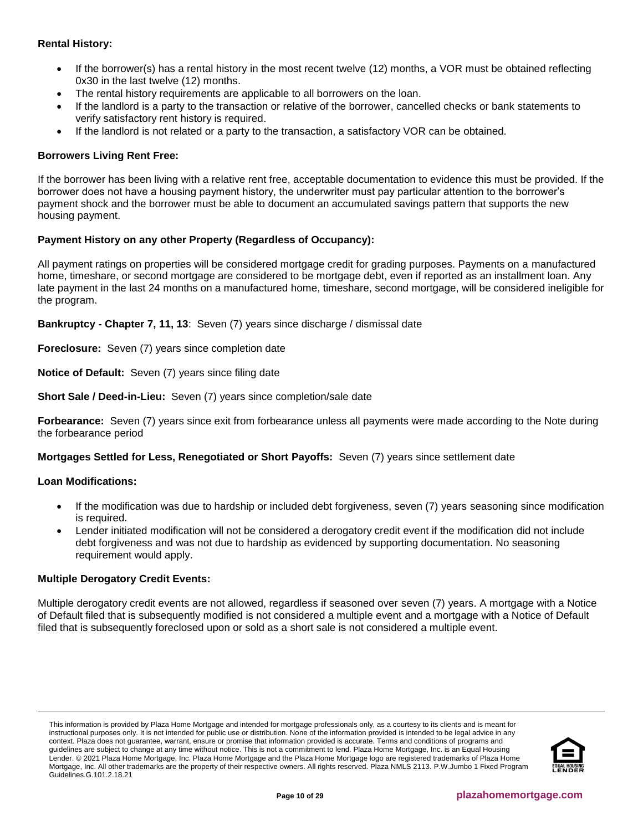## **Rental History:**

- If the borrower(s) has a rental history in the most recent twelve (12) months, a VOR must be obtained reflecting 0x30 in the last twelve (12) months.
- The rental history requirements are applicable to all borrowers on the loan.
- If the landlord is a party to the transaction or relative of the borrower, cancelled checks or bank statements to verify satisfactory rent history is required.
- If the landlord is not related or a party to the transaction, a satisfactory VOR can be obtained.

## **Borrowers Living Rent Free:**

If the borrower has been living with a relative rent free, acceptable documentation to evidence this must be provided. If the borrower does not have a housing payment history, the underwriter must pay particular attention to the borrower's payment shock and the borrower must be able to document an accumulated savings pattern that supports the new housing payment.

## **Payment History on any other Property (Regardless of Occupancy):**

All payment ratings on properties will be considered mortgage credit for grading purposes. Payments on a manufactured home, timeshare, or second mortgage are considered to be mortgage debt, even if reported as an installment loan. Any late payment in the last 24 months on a manufactured home, timeshare, second mortgage, will be considered ineligible for the program.

**Bankruptcy - Chapter 7, 11, 13**: Seven (7) years since discharge / dismissal date

**Foreclosure:** Seven (7) years since completion date

**Notice of Default:** Seven (7) years since filing date

**Short Sale / Deed-in-Lieu:** Seven (7) years since completion/sale date

**Forbearance:** Seven (7) years since exit from forbearance unless all payments were made according to the Note during the forbearance period

**Mortgages Settled for Less, Renegotiated or Short Payoffs:** Seven (7) years since settlement date

## **Loan Modifications:**

- If the modification was due to hardship or included debt forgiveness, seven (7) years seasoning since modification is required.
- Lender initiated modification will not be considered a derogatory credit event if the modification did not include debt forgiveness and was not due to hardship as evidenced by supporting documentation. No seasoning requirement would apply.

## **Multiple Derogatory Credit Events:**

Multiple derogatory credit events are not allowed, regardless if seasoned over seven (7) years. A mortgage with a Notice of Default filed that is subsequently modified is not considered a multiple event and a mortgage with a Notice of Default filed that is subsequently foreclosed upon or sold as a short sale is not considered a multiple event.

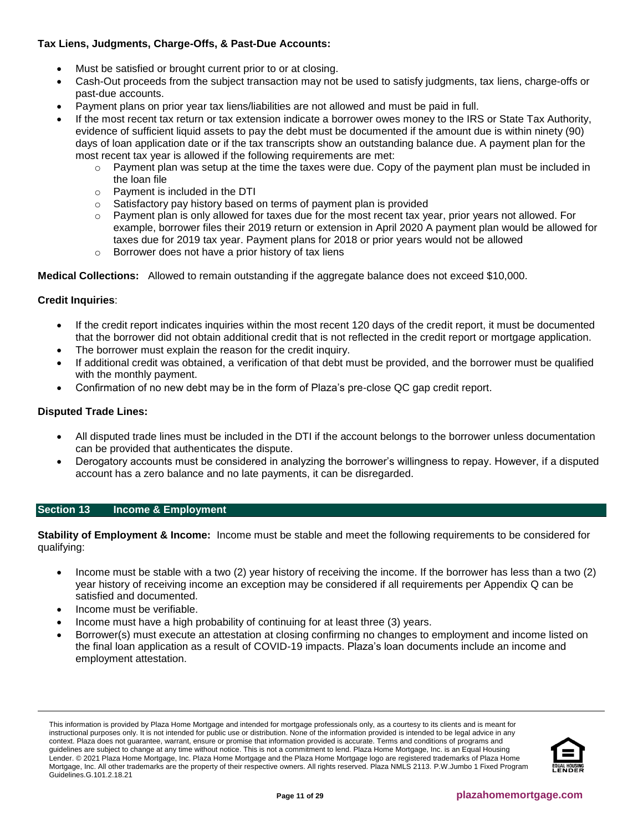## **Tax Liens, Judgments, Charge-Offs, & Past-Due Accounts:**

- Must be satisfied or brought current prior to or at closing.
- Cash-Out proceeds from the subject transaction may not be used to satisfy judgments, tax liens, charge-offs or past-due accounts.
- Payment plans on prior year tax liens/liabilities are not allowed and must be paid in full.
- If the most recent tax return or tax extension indicate a borrower owes money to the IRS or State Tax Authority, evidence of sufficient liquid assets to pay the debt must be documented if the amount due is within ninety (90) days of loan application date or if the tax transcripts show an outstanding balance due. A payment plan for the most recent tax year is allowed if the following requirements are met:
	- $\circ$  Payment plan was setup at the time the taxes were due. Copy of the payment plan must be included in the loan file
	- o Payment is included in the DTI
	- o Satisfactory pay history based on terms of payment plan is provided
	- Payment plan is only allowed for taxes due for the most recent tax year, prior years not allowed. For example, borrower files their 2019 return or extension in April 2020 A payment plan would be allowed for taxes due for 2019 tax year. Payment plans for 2018 or prior years would not be allowed
	- o Borrower does not have a prior history of tax liens

**Medical Collections:** Allowed to remain outstanding if the aggregate balance does not exceed \$10,000.

## **Credit Inquiries**:

- If the credit report indicates inquiries within the most recent 120 days of the credit report, it must be documented that the borrower did not obtain additional credit that is not reflected in the credit report or mortgage application.
- The borrower must explain the reason for the credit inquiry.
- If additional credit was obtained, a verification of that debt must be provided, and the borrower must be qualified with the monthly payment.
- Confirmation of no new debt may be in the form of Plaza's pre-close QC gap credit report.

## **Disputed Trade Lines:**

- All disputed trade lines must be included in the DTI if the account belongs to the borrower unless documentation can be provided that authenticates the dispute.
- Derogatory accounts must be considered in analyzing the borrower's willingness to repay. However, if a disputed account has a zero balance and no late payments, it can be disregarded.

## <span id="page-10-0"></span>**Section 13 Income & Employment**

**Stability of Employment & Income:** Income must be stable and meet the following requirements to be considered for qualifying:

- Income must be stable with a two (2) year history of receiving the income. If the borrower has less than a two (2) year history of receiving income an exception may be considered if all requirements per Appendix Q can be satisfied and documented.
- Income must be verifiable.
- Income must have a high probability of continuing for at least three (3) years.
- Borrower(s) must execute an attestation at closing confirming no changes to employment and income listed on the final loan application as a result of COVID-19 impacts. Plaza's loan documents include an income and employment attestation.

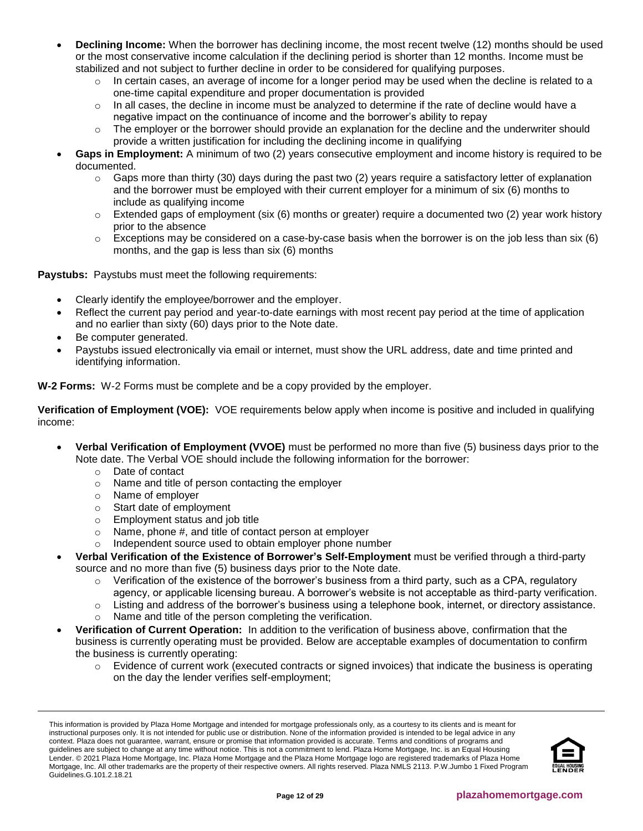- **Declining Income:** When the borrower has declining income, the most recent twelve (12) months should be used or the most conservative income calculation if the declining period is shorter than 12 months. Income must be stabilized and not subject to further decline in order to be considered for qualifying purposes.
	- $\circ$  In certain cases, an average of income for a longer period may be used when the decline is related to a one-time capital expenditure and proper documentation is provided
	- $\circ$  In all cases, the decline in income must be analyzed to determine if the rate of decline would have a negative impact on the continuance of income and the borrower's ability to repay
	- The employer or the borrower should provide an explanation for the decline and the underwriter should provide a written justification for including the declining income in qualifying
- **Gaps in Employment:** A minimum of two (2) years consecutive employment and income history is required to be documented.
	- o Gaps more than thirty (30) days during the past two (2) years require a satisfactory letter of explanation and the borrower must be employed with their current employer for a minimum of six (6) months to include as qualifying income
	- $\circ$  Extended gaps of employment (six (6) months or greater) require a documented two (2) year work history prior to the absence
	- $\circ$  Exceptions may be considered on a case-by-case basis when the borrower is on the job less than six (6) months, and the gap is less than six (6) months

**Paystubs:** Paystubs must meet the following requirements:

- Clearly identify the employee/borrower and the employer.
- Reflect the current pay period and year-to-date earnings with most recent pay period at the time of application and no earlier than sixty (60) days prior to the Note date.
- Be computer generated.
- Paystubs issued electronically via email or internet, must show the URL address, date and time printed and identifying information.

**W-2 Forms:** W-2 Forms must be complete and be a copy provided by the employer.

**Verification of Employment (VOE):** VOE requirements below apply when income is positive and included in qualifying income:

- **Verbal Verification of Employment (VVOE)** must be performed no more than five (5) business days prior to the Note date. The Verbal VOE should include the following information for the borrower:
	- o Date of contact
	- o Name and title of person contacting the employer
	- o Name of employer
	- o Start date of employment
	- o Employment status and job title
	- o Name, phone #, and title of contact person at employer
	- o Independent source used to obtain employer phone number
- **Verbal Verification of the Existence of Borrower's Self-Employment** must be verified through a third-party source and no more than five (5) business days prior to the Note date.
	- $\circ$  Verification of the existence of the borrower's business from a third party, such as a CPA, regulatory agency, or applicable licensing bureau. A borrower's website is not acceptable as third-party verification.
	- $\circ$  Listing and address of the borrower's business using a telephone book, internet, or directory assistance.
	- o Name and title of the person completing the verification.
- **Verification of Current Operation:** In addition to the verification of business above, confirmation that the business is currently operating must be provided. Below are acceptable examples of documentation to confirm the business is currently operating:
	- $\circ$  Evidence of current work (executed contracts or signed invoices) that indicate the business is operating on the day the lender verifies self-employment;

This information is provided by Plaza Home Mortgage and intended for mortgage professionals only, as a courtesy to its clients and is meant for instructional purposes only. It is not intended for public use or distribution. None of the information provided is intended to be legal advice in any context. Plaza does not guarantee, warrant, ensure or promise that information provided is accurate. Terms and conditions of programs and guidelines are subject to change at any time without notice. This is not a commitment to lend. Plaza Home Mortgage, Inc. is an Equal Housing Lender. © 2021 Plaza Home Mortgage, Inc. Plaza Home Mortgage and the Plaza Home Mortgage logo are registered trademarks of Plaza Home Mortgage, Inc. All other trademarks are the property of their respective owners. All rights reserved. Plaza NMLS 2113. P.W.Jumbo 1 Fixed Program Guidelines.G.101.2.18.21

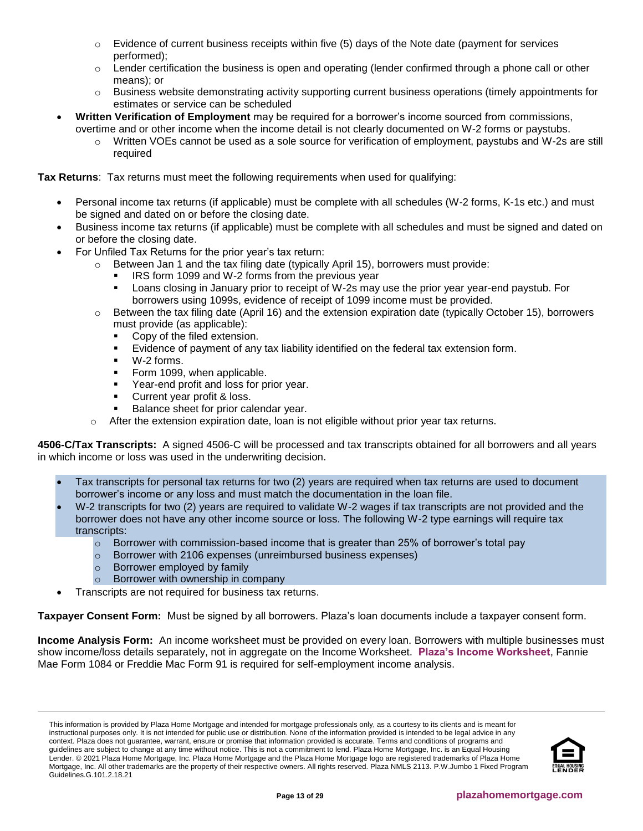- $\circ$  Evidence of current business receipts within five (5) days of the Note date (payment for services performed);
- $\circ$  Lender certification the business is open and operating (lender confirmed through a phone call or other means); or
- o Business website demonstrating activity supporting current business operations (timely appointments for estimates or service can be scheduled
- **Written Verification of Employment** may be required for a borrower's income sourced from commissions, overtime and or other income when the income detail is not clearly documented on W-2 forms or paystubs.
	- Written VOEs cannot be used as a sole source for verification of employment, paystubs and W-2s are still required

**Tax Returns**: Tax returns must meet the following requirements when used for qualifying:

- Personal income tax returns (if applicable) must be complete with all schedules (W-2 forms, K-1s etc.) and must be signed and dated on or before the closing date.
- Business income tax returns (if applicable) must be complete with all schedules and must be signed and dated on or before the closing date.
- For Unfiled Tax Returns for the prior year's tax return:
	- $\circ$  Between Jan 1 and the tax filing date (typically April 15), borrowers must provide:
		- IRS form 1099 and W-2 forms from the previous year
		- Loans closing in January prior to receipt of W-2s may use the prior year year-end paystub. For borrowers using 1099s, evidence of receipt of 1099 income must be provided.
	- $\circ$  Between the tax filing date (April 16) and the extension expiration date (typically October 15), borrowers must provide (as applicable):
		- Copy of the filed extension.
		- Evidence of payment of any tax liability identified on the federal tax extension form.
		- W-2 forms.
		- Form 1099, when applicable.
		- Year-end profit and loss for prior year.
		- Current year profit & loss.
		- Balance sheet for prior calendar year.
	- After the extension expiration date, loan is not eligible without prior year tax returns.

<span id="page-12-0"></span>**4506-C/Tax Transcripts:** A signed 4506-C will be processed and tax transcripts obtained for all borrowers and all years in which income or loss was used in the underwriting decision.

- Tax transcripts for personal tax returns for two (2) years are required when tax returns are used to document borrower's income or any loss and must match the documentation in the loan file.
- W-2 transcripts for two (2) years are required to validate W-2 wages if tax transcripts are not provided and the borrower does not have any other income source or loss. The following W-2 type earnings will require tax transcripts:
	- $\circ$  Borrower with commission-based income that is greater than 25% of borrower's total pay
	- o Borrower with 2106 expenses (unreimbursed business expenses)
	- o Borrower employed by family
	- o Borrower with ownership in company
	- Transcripts are not required for business tax returns.

**Taxpayer Consent Form:** Must be signed by all borrowers. Plaza's loan documents include a taxpayer consent form.

**Income Analysis Form:** An income worksheet must be provided on every loan. Borrowers with multiple businesses must show income/loss details separately, not in aggregate on the Income Worksheet. **[Plaza's Income Worksheet](https://resourcecenter.plazahomemortgage.com/whocli/all/7b7e6466ba576c4b88258059005aa6fd?opendocument)**, Fannie Mae Form 1084 or Freddie Mac Form 91 is required for self-employment income analysis.

This information is provided by Plaza Home Mortgage and intended for mortgage professionals only, as a courtesy to its clients and is meant for instructional purposes only. It is not intended for public use or distribution. None of the information provided is intended to be legal advice in any context. Plaza does not guarantee, warrant, ensure or promise that information provided is accurate. Terms and conditions of programs and guidelines are subject to change at any time without notice. This is not a commitment to lend. Plaza Home Mortgage, Inc. is an Equal Housing Lender. © 2021 Plaza Home Mortgage, Inc. Plaza Home Mortgage and the Plaza Home Mortgage logo are registered trademarks of Plaza Home Mortgage, Inc. All other trademarks are the property of their respective owners. All rights reserved. Plaza NMLS 2113. P.W.Jumbo 1 Fixed Program Guidelines.G.101.2.18.21

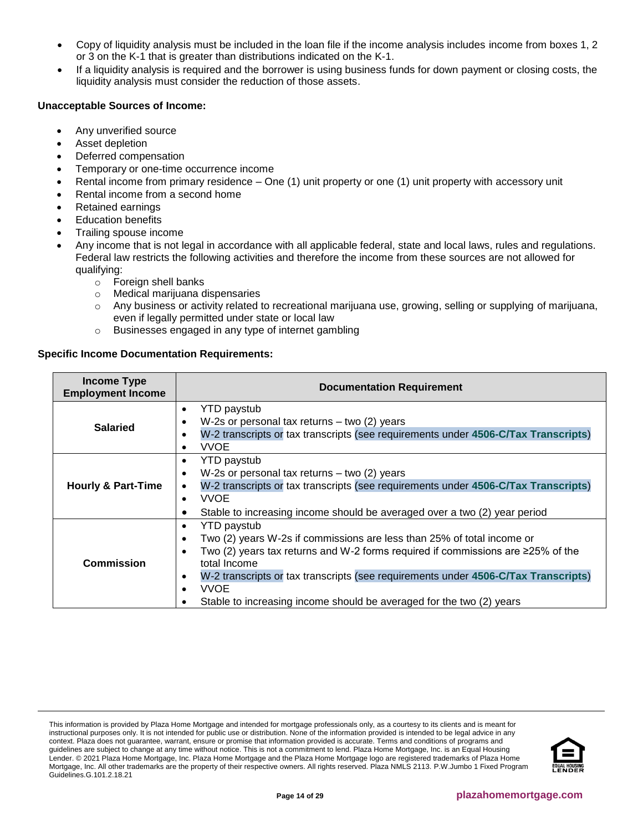- Copy of liquidity analysis must be included in the loan file if the income analysis includes income from boxes 1, 2 or 3 on the K-1 that is greater than distributions indicated on the K-1.
- If a liquidity analysis is required and the borrower is using business funds for down payment or closing costs, the liquidity analysis must consider the reduction of those assets.

## **Unacceptable Sources of Income:**

- Any unverified source
- Asset depletion
- Deferred compensation
- Temporary or one-time occurrence income
- Rental income from primary residence One (1) unit property or one (1) unit property with accessory unit
- Rental income from a second home
- Retained earnings
- **Education benefits**
- Trailing spouse income
- Any income that is not legal in accordance with all applicable federal, state and local laws, rules and regulations. Federal law restricts the following activities and therefore the income from these sources are not allowed for qualifying:
	- o Foreign shell banks
	- o Medical marijuana dispensaries
	- o Any business or activity related to recreational marijuana use, growing, selling or supplying of marijuana, even if legally permitted under state or local law
	- o Businesses engaged in any type of internet gambling

## **Specific Income Documentation Requirements:**

| <b>Income Type</b><br><b>Employment Income</b> | <b>Documentation Requirement</b>                                                                                                                                                                                                                                                                                                                                                                |  |  |
|------------------------------------------------|-------------------------------------------------------------------------------------------------------------------------------------------------------------------------------------------------------------------------------------------------------------------------------------------------------------------------------------------------------------------------------------------------|--|--|
| <b>Salaried</b>                                | <b>YTD</b> paystub<br>٠<br>W-2s or personal tax returns $-$ two (2) years<br>W-2 transcripts or tax transcripts (see requirements under 4506-C/Tax Transcripts)<br>٠<br><b>VVOE</b><br>٠                                                                                                                                                                                                        |  |  |
| <b>Hourly &amp; Part-Time</b>                  | <b>YTD</b> paystub<br>$\bullet$<br>W-2s or personal tax returns $-$ two (2) years<br>$\bullet$<br>W-2 transcripts or tax transcripts (see requirements under 4506-C/Tax Transcripts)<br><b>VVOE</b><br>$\bullet$<br>Stable to increasing income should be averaged over a two (2) year period                                                                                                   |  |  |
| <b>Commission</b>                              | <b>YTD</b> paystub<br>Two (2) years W-2s if commissions are less than 25% of total income or<br>Two (2) years tax returns and W-2 forms required if commissions are $\geq$ 25% of the<br>total Income<br>W-2 transcripts or tax transcripts (see requirements under 4506-C/Tax Transcripts)<br>$\bullet$<br><b>VVOE</b><br>Stable to increasing income should be averaged for the two (2) years |  |  |

This information is provided by Plaza Home Mortgage and intended for mortgage professionals only, as a courtesy to its clients and is meant for instructional purposes only. It is not intended for public use or distribution. None of the information provided is intended to be legal advice in any context. Plaza does not guarantee, warrant, ensure or promise that information provided is accurate. Terms and conditions of programs and guidelines are subject to change at any time without notice. This is not a commitment to lend. Plaza Home Mortgage, Inc. is an Equal Housing Lender. © 2021 Plaza Home Mortgage, Inc. Plaza Home Mortgage and the Plaza Home Mortgage logo are registered trademarks of Plaza Home Mortgage, Inc. All other trademarks are the property of their respective owners. All rights reserved. Plaza NMLS 2113. P.W.Jumbo 1 Fixed Program Guidelines.G.101.2.18.21

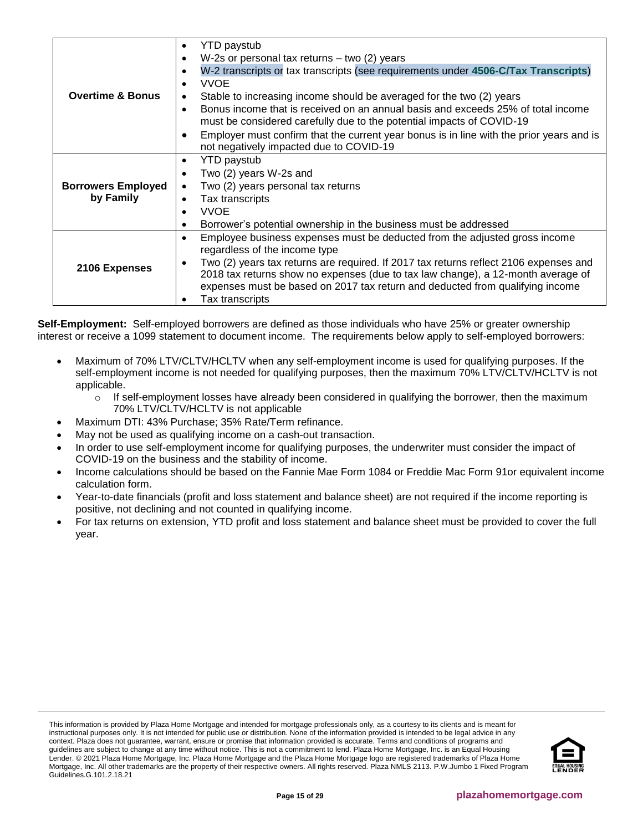|                             | YTD paystub<br>٠                                                                                                                                                       |
|-----------------------------|------------------------------------------------------------------------------------------------------------------------------------------------------------------------|
|                             | W-2s or personal tax returns $-$ two (2) years<br>$\bullet$                                                                                                            |
|                             | W-2 transcripts or tax transcripts (see requirements under 4506-C/Tax Transcripts)<br>٠                                                                                |
|                             | <b>VVOE</b><br>$\bullet$                                                                                                                                               |
| <b>Overtime &amp; Bonus</b> | Stable to increasing income should be averaged for the two (2) years<br>٠                                                                                              |
|                             | Bonus income that is received on an annual basis and exceeds 25% of total income<br>$\bullet$<br>must be considered carefully due to the potential impacts of COVID-19 |
|                             | Employer must confirm that the current year bonus is in line with the prior years and is<br>٠<br>not negatively impacted due to COVID-19                               |
|                             | YTD paystub<br>٠                                                                                                                                                       |
|                             | Two (2) years W-2s and<br>$\bullet$                                                                                                                                    |
| <b>Borrowers Employed</b>   | Two (2) years personal tax returns<br>$\bullet$                                                                                                                        |
| by Family                   | Tax transcripts<br>$\bullet$                                                                                                                                           |
|                             | <b>VVOE</b><br>$\bullet$                                                                                                                                               |
|                             | Borrower's potential ownership in the business must be addressed<br>$\bullet$                                                                                          |
|                             | Employee business expenses must be deducted from the adjusted gross income<br>$\bullet$                                                                                |
|                             | regardless of the income type                                                                                                                                          |
| 2106 Expenses               | Two (2) years tax returns are required. If 2017 tax returns reflect 2106 expenses and<br>$\bullet$                                                                     |
|                             | 2018 tax returns show no expenses (due to tax law change), a 12-month average of<br>expenses must be based on 2017 tax return and deducted from qualifying income      |
|                             | Tax transcripts                                                                                                                                                        |

**Self-Employment:** Self-employed borrowers are defined as those individuals who have 25% or greater ownership interest or receive a 1099 statement to document income. The requirements below apply to self-employed borrowers:

- Maximum of 70% LTV/CLTV/HCLTV when any self-employment income is used for qualifying purposes. If the self-employment income is not needed for qualifying purposes, then the maximum 70% LTV/CLTV/HCLTV is not applicable.
	- $\circ$  If self-employment losses have already been considered in qualifying the borrower, then the maximum 70% LTV/CLTV/HCLTV is not applicable
- Maximum DTI: 43% Purchase; 35% Rate/Term refinance.
- May not be used as qualifying income on a cash-out transaction.
- In order to use self-employment income for qualifying purposes, the underwriter must consider the impact of COVID-19 on the business and the stability of income.
- Income calculations should be based on the Fannie Mae Form 1084 or Freddie Mac Form 91or equivalent income calculation form.
- Year-to-date financials (profit and loss statement and balance sheet) are not required if the income reporting is positive, not declining and not counted in qualifying income.
- For tax returns on extension, YTD profit and loss statement and balance sheet must be provided to cover the full year.

This information is provided by Plaza Home Mortgage and intended for mortgage professionals only, as a courtesy to its clients and is meant for instructional purposes only. It is not intended for public use or distribution. None of the information provided is intended to be legal advice in any context. Plaza does not guarantee, warrant, ensure or promise that information provided is accurate. Terms and conditions of programs and guidelines are subject to change at any time without notice. This is not a commitment to lend. Plaza Home Mortgage, Inc. is an Equal Housing Lender. © 2021 Plaza Home Mortgage, Inc. Plaza Home Mortgage and the Plaza Home Mortgage logo are registered trademarks of Plaza Home Mortgage, Inc. All other trademarks are the property of their respective owners. All rights reserved. Plaza NMLS 2113. P.W.Jumbo 1 Fixed Program Guidelines.G.101.2.18.21

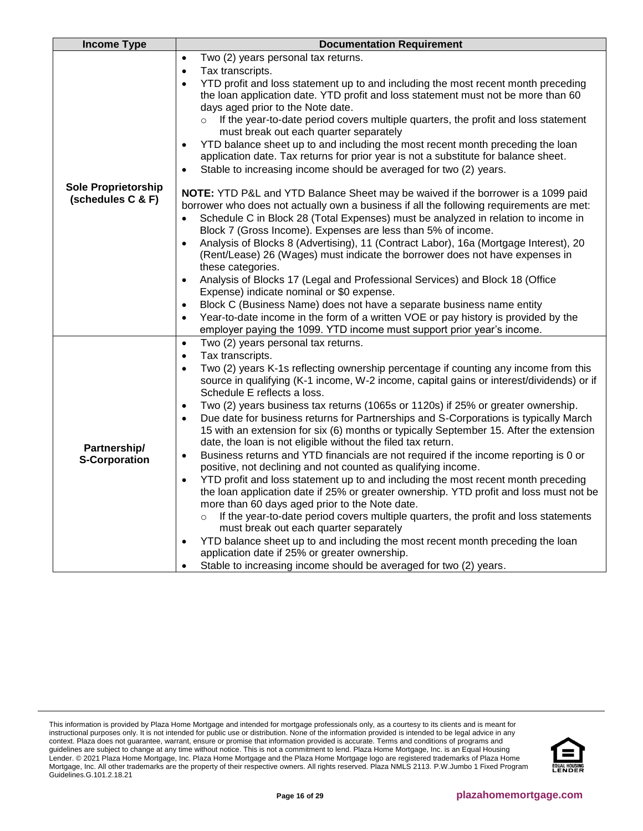| Two (2) years personal tax returns.<br>$\bullet$                                                                                                                                                                                                                                                                                                                                     |  |
|--------------------------------------------------------------------------------------------------------------------------------------------------------------------------------------------------------------------------------------------------------------------------------------------------------------------------------------------------------------------------------------|--|
|                                                                                                                                                                                                                                                                                                                                                                                      |  |
| Tax transcripts.<br>$\bullet$                                                                                                                                                                                                                                                                                                                                                        |  |
| YTD profit and loss statement up to and including the most recent month preceding<br>$\bullet$<br>the loan application date. YTD profit and loss statement must not be more than 60<br>days aged prior to the Note date.                                                                                                                                                             |  |
| If the year-to-date period covers multiple quarters, the profit and loss statement<br>$\circ$<br>must break out each quarter separately                                                                                                                                                                                                                                              |  |
| YTD balance sheet up to and including the most recent month preceding the loan<br>$\bullet$<br>application date. Tax returns for prior year is not a substitute for balance sheet.                                                                                                                                                                                                   |  |
| Stable to increasing income should be averaged for two (2) years.<br>$\bullet$                                                                                                                                                                                                                                                                                                       |  |
| <b>Sole Proprietorship</b><br>NOTE: YTD P&L and YTD Balance Sheet may be waived if the borrower is a 1099 paid<br>(schedules C & F)<br>borrower who does not actually own a business if all the following requirements are met:<br>Schedule C in Block 28 (Total Expenses) must be analyzed in relation to income in<br>Block 7 (Gross Income). Expenses are less than 5% of income. |  |
| Analysis of Blocks 8 (Advertising), 11 (Contract Labor), 16a (Mortgage Interest), 20<br>$\bullet$<br>(Rent/Lease) 26 (Wages) must indicate the borrower does not have expenses in<br>these categories.                                                                                                                                                                               |  |
| Analysis of Blocks 17 (Legal and Professional Services) and Block 18 (Office<br>Expense) indicate nominal or \$0 expense.                                                                                                                                                                                                                                                            |  |
| Block C (Business Name) does not have a separate business name entity<br>$\bullet$                                                                                                                                                                                                                                                                                                   |  |
| Year-to-date income in the form of a written VOE or pay history is provided by the<br>$\bullet$                                                                                                                                                                                                                                                                                      |  |
| employer paying the 1099. YTD income must support prior year's income.                                                                                                                                                                                                                                                                                                               |  |
| Two (2) years personal tax returns.<br>$\bullet$                                                                                                                                                                                                                                                                                                                                     |  |
| Tax transcripts.<br>$\bullet$                                                                                                                                                                                                                                                                                                                                                        |  |
| Two (2) years K-1s reflecting ownership percentage if counting any income from this<br>$\bullet$<br>source in qualifying (K-1 income, W-2 income, capital gains or interest/dividends) or if<br>Schedule E reflects a loss.                                                                                                                                                          |  |
| Two (2) years business tax returns (1065s or 1120s) if 25% or greater ownership.<br>$\bullet$                                                                                                                                                                                                                                                                                        |  |
| Due date for business returns for Partnerships and S-Corporations is typically March<br>$\bullet$<br>15 with an extension for six (6) months or typically September 15. After the extension                                                                                                                                                                                          |  |
| date, the loan is not eligible without the filed tax return.<br>Partnership/<br>Business returns and YTD financials are not required if the income reporting is 0 or<br>$\bullet$                                                                                                                                                                                                    |  |
| <b>S-Corporation</b><br>positive, not declining and not counted as qualifying income.                                                                                                                                                                                                                                                                                                |  |
| YTD profit and loss statement up to and including the most recent month preceding<br>$\bullet$                                                                                                                                                                                                                                                                                       |  |
| the loan application date if 25% or greater ownership. YTD profit and loss must not be                                                                                                                                                                                                                                                                                               |  |
| more than 60 days aged prior to the Note date.                                                                                                                                                                                                                                                                                                                                       |  |
| If the year-to-date period covers multiple quarters, the profit and loss statements<br>$\circ$                                                                                                                                                                                                                                                                                       |  |
| must break out each quarter separately                                                                                                                                                                                                                                                                                                                                               |  |
| YTD balance sheet up to and including the most recent month preceding the loan<br>$\bullet$<br>application date if 25% or greater ownership.                                                                                                                                                                                                                                         |  |
| Stable to increasing income should be averaged for two (2) years.                                                                                                                                                                                                                                                                                                                    |  |

This information is provided by Plaza Home Mortgage and intended for mortgage professionals only, as a courtesy to its clients and is meant for instructional purposes only. It is not intended for public use or distribution. None of the information provided is intended to be legal advice in any context. Plaza does not guarantee, warrant, ensure or promise that information provided is accurate. Terms and conditions of programs and guidelines are subject to change at any time without notice. This is not a commitment to lend. Plaza Home Mortgage, Inc. is an Equal Housing Lender. © 2021 Plaza Home Mortgage, Inc. Plaza Home Mortgage and the Plaza Home Mortgage logo are registered trademarks of Plaza Home Mortgage, Inc. All other trademarks are the property of their respective owners. All rights reserved. Plaza NMLS 2113. P.W.Jumbo 1 Fixed Program Guidelines.G.101.2.18.21

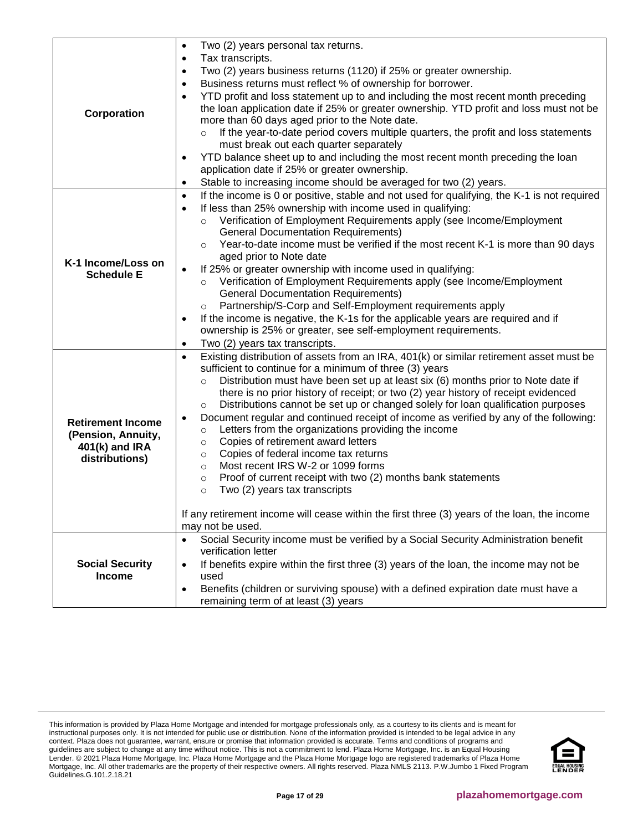|                          | Two (2) years personal tax returns.<br>$\bullet$                                                         |
|--------------------------|----------------------------------------------------------------------------------------------------------|
|                          | Tax transcripts.<br>$\bullet$                                                                            |
|                          | Two (2) years business returns (1120) if 25% or greater ownership.<br>٠                                  |
|                          | Business returns must reflect % of ownership for borrower.<br>٠                                          |
|                          | YTD profit and loss statement up to and including the most recent month preceding<br>$\bullet$           |
| Corporation              | the loan application date if 25% or greater ownership. YTD profit and loss must not be                   |
|                          | more than 60 days aged prior to the Note date.                                                           |
|                          | If the year-to-date period covers multiple quarters, the profit and loss statements<br>$\circ$           |
|                          | must break out each quarter separately                                                                   |
|                          | YTD balance sheet up to and including the most recent month preceding the loan<br>٠                      |
|                          | application date if 25% or greater ownership.                                                            |
|                          | Stable to increasing income should be averaged for two (2) years.<br>$\bullet$                           |
|                          | If the income is 0 or positive, stable and not used for qualifying, the K-1 is not required<br>$\bullet$ |
|                          | If less than 25% ownership with income used in qualifying:<br>$\bullet$                                  |
|                          | Verification of Employment Requirements apply (see Income/Employment                                     |
|                          | <b>General Documentation Requirements)</b>                                                               |
|                          | Year-to-date income must be verified if the most recent K-1 is more than 90 days<br>$\circ$              |
| K-1 Income/Loss on       | aged prior to Note date                                                                                  |
| <b>Schedule E</b>        | If 25% or greater ownership with income used in qualifying:<br>$\bullet$                                 |
|                          | Verification of Employment Requirements apply (see Income/Employment<br>$\circ$                          |
|                          | <b>General Documentation Requirements)</b>                                                               |
|                          | Partnership/S-Corp and Self-Employment requirements apply<br>$\circ$                                     |
|                          | If the income is negative, the K-1s for the applicable years are required and if<br>$\bullet$            |
|                          | ownership is 25% or greater, see self-employment requirements.                                           |
|                          | Two (2) years tax transcripts.<br>$\bullet$                                                              |
|                          | Existing distribution of assets from an IRA, 401(k) or similar retirement asset must be<br>$\bullet$     |
|                          | sufficient to continue for a minimum of three (3) years                                                  |
|                          | Distribution must have been set up at least six (6) months prior to Note date if<br>$\circ$              |
|                          | there is no prior history of receipt; or two (2) year history of receipt evidenced                       |
|                          | Distributions cannot be set up or changed solely for loan qualification purposes<br>$\circ$              |
| <b>Retirement Income</b> | Document regular and continued receipt of income as verified by any of the following:<br>$\bullet$       |
| (Pension, Annuity,       | Letters from the organizations providing the income<br>$\circ$                                           |
| 401(k) and IRA           | Copies of retirement award letters<br>$\circ$                                                            |
| distributions)           | Copies of federal income tax returns<br>$\circ$                                                          |
|                          | Most recent IRS W-2 or 1099 forms<br>$\circ$                                                             |
|                          | Proof of current receipt with two (2) months bank statements<br>$\circ$                                  |
|                          | Two (2) years tax transcripts<br>$\circ$                                                                 |
|                          | If any retirement income will cease within the first three (3) years of the loan, the income             |
|                          | may not be used.                                                                                         |
|                          | Social Security income must be verified by a Social Security Administration benefit<br>$\bullet$         |
|                          | verification letter                                                                                      |
| <b>Social Security</b>   | If benefits expire within the first three (3) years of the loan, the income may not be<br>$\bullet$      |
| <b>Income</b>            | used                                                                                                     |
|                          | Benefits (children or surviving spouse) with a defined expiration date must have a<br>$\bullet$          |
|                          | remaining term of at least (3) years                                                                     |

This information is provided by Plaza Home Mortgage and intended for mortgage professionals only, as a courtesy to its clients and is meant for instructional purposes only. It is not intended for public use or distribution. None of the information provided is intended to be legal advice in any context. Plaza does not guarantee, warrant, ensure or promise that information provided is accurate. Terms and conditions of programs and guidelines are subject to change at any time without notice. This is not a commitment to lend. Plaza Home Mortgage, Inc. is an Equal Housing Lender. © 2021 Plaza Home Mortgage, Inc. Plaza Home Mortgage and the Plaza Home Mortgage logo are registered trademarks of Plaza Home Mortgage, Inc. All other trademarks are the property of their respective owners. All rights reserved. Plaza NMLS 2113. P.W.Jumbo 1 Fixed Program Guidelines.G.101.2.18.21

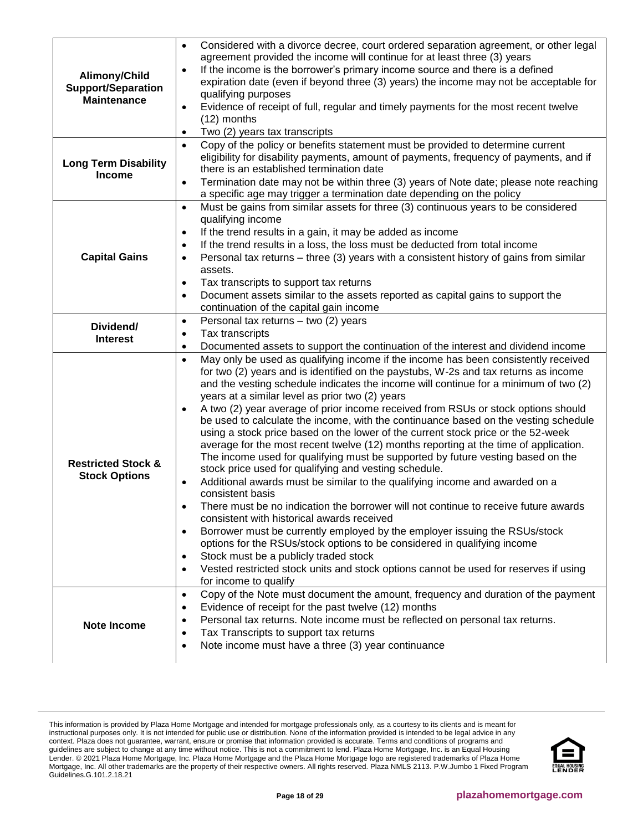| Alimony/Child<br><b>Support/Separation</b><br><b>Maintenance</b> | Considered with a divorce decree, court ordered separation agreement, or other legal<br>$\bullet$<br>agreement provided the income will continue for at least three (3) years<br>If the income is the borrower's primary income source and there is a defined<br>$\bullet$<br>expiration date (even if beyond three (3) years) the income may not be acceptable for<br>qualifying purposes<br>Evidence of receipt of full, regular and timely payments for the most recent twelve<br>$\bullet$<br>$(12)$ months<br>Two (2) years tax transcripts<br>$\bullet$                                                                                                                                                                                                                                                                                                                                                                                                                                                                                                                                                                                                                                                                                                                                                                                                                                                               |  |
|------------------------------------------------------------------|-----------------------------------------------------------------------------------------------------------------------------------------------------------------------------------------------------------------------------------------------------------------------------------------------------------------------------------------------------------------------------------------------------------------------------------------------------------------------------------------------------------------------------------------------------------------------------------------------------------------------------------------------------------------------------------------------------------------------------------------------------------------------------------------------------------------------------------------------------------------------------------------------------------------------------------------------------------------------------------------------------------------------------------------------------------------------------------------------------------------------------------------------------------------------------------------------------------------------------------------------------------------------------------------------------------------------------------------------------------------------------------------------------------------------------|--|
| <b>Long Term Disability</b><br><b>Income</b>                     | Copy of the policy or benefits statement must be provided to determine current<br>$\bullet$<br>eligibility for disability payments, amount of payments, frequency of payments, and if<br>there is an established termination date<br>Termination date may not be within three (3) years of Note date; please note reaching<br>$\bullet$<br>a specific age may trigger a termination date depending on the policy                                                                                                                                                                                                                                                                                                                                                                                                                                                                                                                                                                                                                                                                                                                                                                                                                                                                                                                                                                                                            |  |
| <b>Capital Gains</b>                                             | Must be gains from similar assets for three (3) continuous years to be considered<br>$\bullet$<br>qualifying income<br>If the trend results in a gain, it may be added as income<br>$\bullet$<br>If the trend results in a loss, the loss must be deducted from total income<br>$\bullet$<br>Personal tax returns – three (3) years with a consistent history of gains from similar<br>$\bullet$<br>assets.<br>Tax transcripts to support tax returns<br>$\bullet$<br>Document assets similar to the assets reported as capital gains to support the<br>$\bullet$<br>continuation of the capital gain income                                                                                                                                                                                                                                                                                                                                                                                                                                                                                                                                                                                                                                                                                                                                                                                                                |  |
| Dividend/<br><b>Interest</b>                                     | Personal tax returns - two (2) years<br>$\bullet$<br>Tax transcripts<br>$\bullet$<br>Documented assets to support the continuation of the interest and dividend income<br>$\bullet$                                                                                                                                                                                                                                                                                                                                                                                                                                                                                                                                                                                                                                                                                                                                                                                                                                                                                                                                                                                                                                                                                                                                                                                                                                         |  |
| <b>Restricted Stock &amp;</b><br><b>Stock Options</b>            | May only be used as qualifying income if the income has been consistently received<br>$\bullet$<br>for two (2) years and is identified on the paystubs, W-2s and tax returns as income<br>and the vesting schedule indicates the income will continue for a minimum of two (2)<br>years at a similar level as prior two (2) years<br>A two (2) year average of prior income received from RSUs or stock options should<br>$\bullet$<br>be used to calculate the income, with the continuance based on the vesting schedule<br>using a stock price based on the lower of the current stock price or the 52-week<br>average for the most recent twelve (12) months reporting at the time of application.<br>The income used for qualifying must be supported by future vesting based on the<br>stock price used for qualifying and vesting schedule.<br>Additional awards must be similar to the qualifying income and awarded on a<br>consistent basis<br>There must be no indication the borrower will not continue to receive future awards<br>consistent with historical awards received<br>Borrower must be currently employed by the employer issuing the RSUs/stock<br>options for the RSUs/stock options to be considered in qualifying income<br>Stock must be a publicly traded stock<br>Vested restricted stock units and stock options cannot be used for reserves if using<br>$\bullet$<br>for income to qualify |  |
| Note Income                                                      | Copy of the Note must document the amount, frequency and duration of the payment<br>$\bullet$<br>Evidence of receipt for the past twelve (12) months<br>$\bullet$<br>Personal tax returns. Note income must be reflected on personal tax returns.<br>$\bullet$<br>Tax Transcripts to support tax returns<br>$\bullet$<br>Note income must have a three (3) year continuance<br>$\bullet$                                                                                                                                                                                                                                                                                                                                                                                                                                                                                                                                                                                                                                                                                                                                                                                                                                                                                                                                                                                                                                    |  |

This information is provided by Plaza Home Mortgage and intended for mortgage professionals only, as a courtesy to its clients and is meant for instructional purposes only. It is not intended for public use or distribution. None of the information provided is intended to be legal advice in any context. Plaza does not guarantee, warrant, ensure or promise that information provided is accurate. Terms and conditions of programs and guidelines are subject to change at any time without notice. This is not a commitment to lend. Plaza Home Mortgage, Inc. is an Equal Housing Lender. © 2021 Plaza Home Mortgage, Inc. Plaza Home Mortgage and the Plaza Home Mortgage logo are registered trademarks of Plaza Home Mortgage, Inc. All other trademarks are the property of their respective owners. All rights reserved. Plaza NMLS 2113. P.W.Jumbo 1 Fixed Program Guidelines.G.101.2.18.21

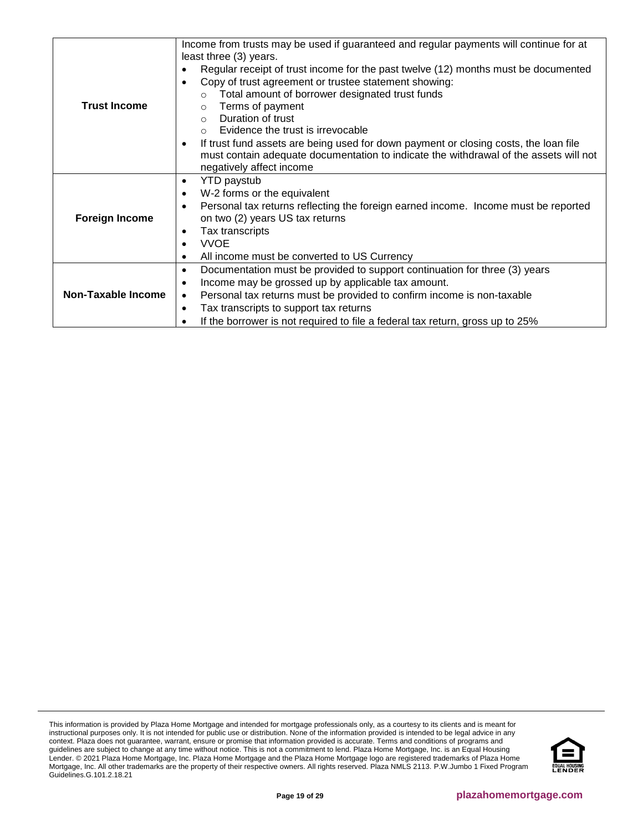|                           | Income from trusts may be used if guaranteed and regular payments will continue for at            |
|---------------------------|---------------------------------------------------------------------------------------------------|
|                           | least three (3) years.                                                                            |
|                           | Regular receipt of trust income for the past twelve (12) months must be documented<br>٠           |
|                           | Copy of trust agreement or trustee statement showing:<br>$\bullet$                                |
|                           | Total amount of borrower designated trust funds                                                   |
| <b>Trust Income</b>       | Terms of payment<br>$\circ$                                                                       |
|                           | Duration of trust<br>$\Omega$                                                                     |
|                           | Evidence the trust is irrevocable<br>$\Omega$                                                     |
|                           | If trust fund assets are being used for down payment or closing costs, the loan file<br>$\bullet$ |
|                           | must contain adequate documentation to indicate the withdrawal of the assets will not             |
|                           | negatively affect income                                                                          |
|                           | <b>YTD</b> paystub<br>$\bullet$                                                                   |
|                           | W-2 forms or the equivalent<br>$\bullet$                                                          |
|                           | Personal tax returns reflecting the foreign earned income. Income must be reported<br>$\bullet$   |
| <b>Foreign Income</b>     | on two (2) years US tax returns                                                                   |
|                           | Tax transcripts<br>٠                                                                              |
|                           | <b>VVOE</b><br>$\bullet$                                                                          |
|                           | All income must be converted to US Currency<br>$\bullet$                                          |
|                           | Documentation must be provided to support continuation for three (3) years<br>$\bullet$           |
|                           | Income may be grossed up by applicable tax amount.<br>$\bullet$                                   |
| <b>Non-Taxable Income</b> | Personal tax returns must be provided to confirm income is non-taxable<br>$\bullet$               |
|                           | Tax transcripts to support tax returns<br>$\bullet$                                               |
|                           | If the borrower is not required to file a federal tax return, gross up to 25%                     |

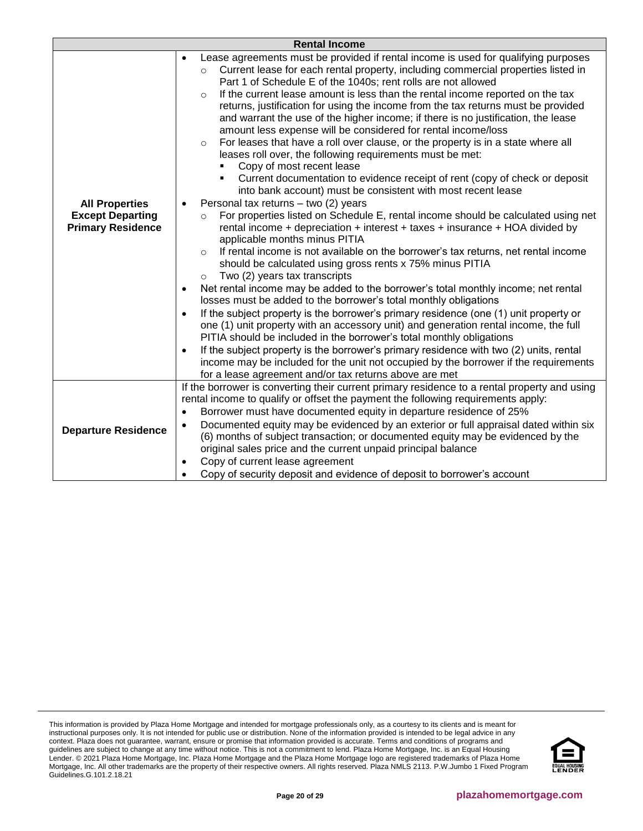|                                                     | <b>Rental Income</b>                                                                                                                                                                                                                                                                                                                                                                                                                                                                                                                                                                                                                                                                                                                                                                                                                                                                                                                                                                                                                                                                                                         |
|-----------------------------------------------------|------------------------------------------------------------------------------------------------------------------------------------------------------------------------------------------------------------------------------------------------------------------------------------------------------------------------------------------------------------------------------------------------------------------------------------------------------------------------------------------------------------------------------------------------------------------------------------------------------------------------------------------------------------------------------------------------------------------------------------------------------------------------------------------------------------------------------------------------------------------------------------------------------------------------------------------------------------------------------------------------------------------------------------------------------------------------------------------------------------------------------|
| <b>All Properties</b>                               | Lease agreements must be provided if rental income is used for qualifying purposes<br>$\bullet$<br>Current lease for each rental property, including commercial properties listed in<br>$\circ$<br>Part 1 of Schedule E of the 1040s; rent rolls are not allowed<br>If the current lease amount is less than the rental income reported on the tax<br>$\circ$<br>returns, justification for using the income from the tax returns must be provided<br>and warrant the use of the higher income; if there is no justification, the lease<br>amount less expense will be considered for rental income/loss<br>For leases that have a roll over clause, or the property is in a state where all<br>$\circ$<br>leases roll over, the following requirements must be met:<br>Copy of most recent lease<br>Current documentation to evidence receipt of rent (copy of check or deposit<br>into bank account) must be consistent with most recent lease<br>Personal tax returns - two (2) years                                                                                                                                     |
| <b>Except Departing</b><br><b>Primary Residence</b> | For properties listed on Schedule E, rental income should be calculated using net<br>$\circ$<br>rental income + depreciation + interest + taxes + insurance + HOA divided by<br>applicable months minus PITIA<br>If rental income is not available on the borrower's tax returns, net rental income<br>$\Omega$<br>should be calculated using gross rents x 75% minus PITIA<br>Two (2) years tax transcripts<br>$\circ$<br>Net rental income may be added to the borrower's total monthly income; net rental<br>$\bullet$<br>losses must be added to the borrower's total monthly obligations<br>If the subject property is the borrower's primary residence (one (1) unit property or<br>$\bullet$<br>one (1) unit property with an accessory unit) and generation rental income, the full<br>PITIA should be included in the borrower's total monthly obligations<br>If the subject property is the borrower's primary residence with two (2) units, rental<br>$\bullet$<br>income may be included for the unit not occupied by the borrower if the requirements<br>for a lease agreement and/or tax returns above are met |
| <b>Departure Residence</b>                          | If the borrower is converting their current primary residence to a rental property and using<br>rental income to qualify or offset the payment the following requirements apply:<br>Borrower must have documented equity in departure residence of 25%<br>$\bullet$<br>Documented equity may be evidenced by an exterior or full appraisal dated within six<br>$\bullet$<br>(6) months of subject transaction; or documented equity may be evidenced by the<br>original sales price and the current unpaid principal balance<br>Copy of current lease agreement<br>٠<br>Copy of security deposit and evidence of deposit to borrower's account                                                                                                                                                                                                                                                                                                                                                                                                                                                                               |

This information is provided by Plaza Home Mortgage and intended for mortgage professionals only, as a courtesy to its clients and is meant for instructional purposes only. It is not intended for public use or distribution. None of the information provided is intended to be legal advice in any context. Plaza does not guarantee, warrant, ensure or promise that information provided is accurate. Terms and conditions of programs and guidelines are subject to change at any time without notice. This is not a commitment to lend. Plaza Home Mortgage, Inc. is an Equal Housing Lender. © 2021 Plaza Home Mortgage, Inc. Plaza Home Mortgage and the Plaza Home Mortgage logo are registered trademarks of Plaza Home Mortgage, Inc. All other trademarks are the property of their respective owners. All rights reserved. Plaza NMLS 2113. P.W.Jumbo 1 Fixed Program Guidelines.G.101.2.18.21

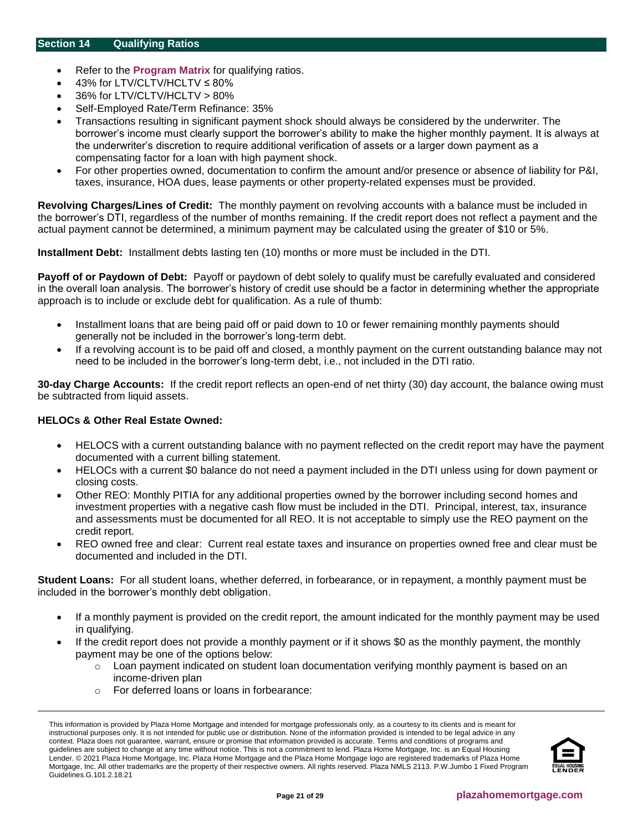- <span id="page-20-0"></span>• Refer to the **[Program Matrix](#page-1-0)** for qualifying ratios.
- 43% for LTV/CLTV/HCLTV ≤ 80%
- 36% for LTV/CLTV/HCLTV > 80%
- Self-Employed Rate/Term Refinance: 35%
- Transactions resulting in significant payment shock should always be considered by the underwriter. The borrower's income must clearly support the borrower's ability to make the higher monthly payment. It is always at the underwriter's discretion to require additional verification of assets or a larger down payment as a compensating factor for a loan with high payment shock.
- For other properties owned, documentation to confirm the amount and/or presence or absence of liability for P&I, taxes, insurance, HOA dues, lease payments or other property-related expenses must be provided.

**Revolving Charges/Lines of Credit:** The monthly payment on revolving accounts with a balance must be included in the borrower's DTI, regardless of the number of months remaining. If the credit report does not reflect a payment and the actual payment cannot be determined, a minimum payment may be calculated using the greater of \$10 or 5%.

**Installment Debt:** Installment debts lasting ten (10) months or more must be included in the DTI.

**Payoff of or Paydown of Debt:** Payoff or paydown of debt solely to qualify must be carefully evaluated and considered in the overall loan analysis. The borrower's history of credit use should be a factor in determining whether the appropriate approach is to include or exclude debt for qualification. As a rule of thumb:

- Installment loans that are being paid off or paid down to 10 or fewer remaining monthly payments should generally not be included in the borrower's long-term debt.
- If a revolving account is to be paid off and closed, a monthly payment on the current outstanding balance may not need to be included in the borrower's long-term debt, i.e., not included in the DTI ratio.

**30-day Charge Accounts:** If the credit report reflects an open-end of net thirty (30) day account, the balance owing must be subtracted from liquid assets.

## **HELOCs & Other Real Estate Owned:**

- HELOCS with a current outstanding balance with no payment reflected on the credit report may have the payment documented with a current billing statement.
- HELOCs with a current \$0 balance do not need a payment included in the DTI unless using for down payment or closing costs.
- Other REO: Monthly PITIA for any additional properties owned by the borrower including second homes and investment properties with a negative cash flow must be included in the DTI. Principal, interest, tax, insurance and assessments must be documented for all REO. It is not acceptable to simply use the REO payment on the credit report.
- REO owned free and clear: Current real estate taxes and insurance on properties owned free and clear must be documented and included in the DTI.

**Student Loans:** For all student loans, whether deferred, in forbearance, or in repayment, a monthly payment must be included in the borrower's monthly debt obligation.

- If a monthly payment is provided on the credit report, the amount indicated for the monthly payment may be used in qualifying.
- If the credit report does not provide a monthly payment or if it shows \$0 as the monthly payment, the monthly payment may be one of the options below:
	- $\circ$  Loan payment indicated on student loan documentation verifying monthly payment is based on an income-driven plan
	- o For deferred loans or loans in forbearance:

This information is provided by Plaza Home Mortgage and intended for mortgage professionals only, as a courtesy to its clients and is meant for instructional purposes only. It is not intended for public use or distribution. None of the information provided is intended to be legal advice in any context. Plaza does not guarantee, warrant, ensure or promise that information provided is accurate. Terms and conditions of programs and guidelines are subject to change at any time without notice. This is not a commitment to lend. Plaza Home Mortgage, Inc. is an Equal Housing Lender. © 2021 Plaza Home Mortgage, Inc. Plaza Home Mortgage and the Plaza Home Mortgage logo are registered trademarks of Plaza Home Mortgage, Inc. All other trademarks are the property of their respective owners. All rights reserved. Plaza NMLS 2113. P.W.Jumbo 1 Fixed Program Guidelines.G.101.2.18.21

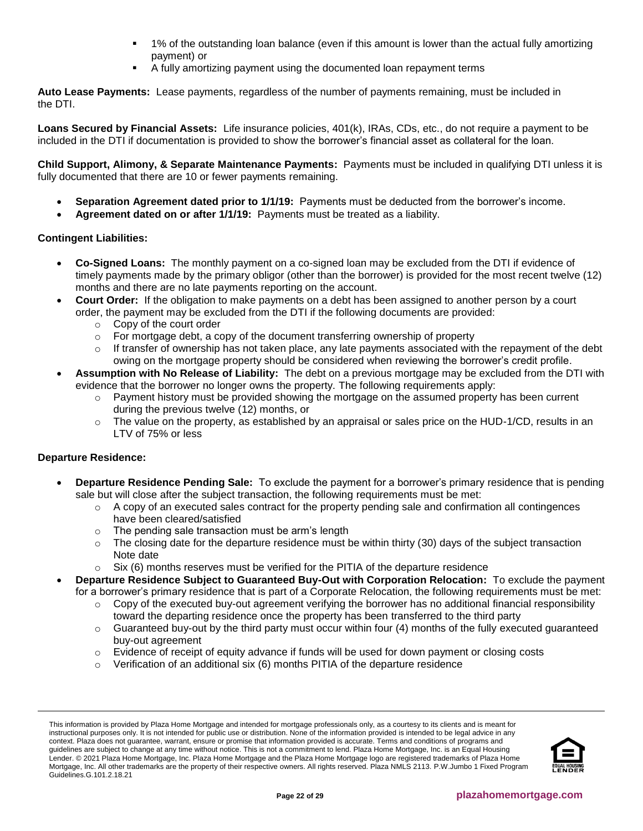- 1% of the outstanding loan balance (even if this amount is lower than the actual fully amortizing payment) or
- A fully amortizing payment using the documented loan repayment terms

**Auto Lease Payments:** Lease payments, regardless of the number of payments remaining, must be included in the DTI.

**Loans Secured by Financial Assets:** Life insurance policies, 401(k), IRAs, CDs, etc., do not require a payment to be included in the DTI if documentation is provided to show the borrower's financial asset as collateral for the loan.

**Child Support, Alimony, & Separate Maintenance Payments:** Payments must be included in qualifying DTI unless it is fully documented that there are 10 or fewer payments remaining.

- **Separation Agreement dated prior to 1/1/19:** Payments must be deducted from the borrower's income.
- **Agreement dated on or after 1/1/19:** Payments must be treated as a liability.

## **Contingent Liabilities:**

- **Co-Signed Loans:** The monthly payment on a co-signed loan may be excluded from the DTI if evidence of timely payments made by the primary obligor (other than the borrower) is provided for the most recent twelve (12) months and there are no late payments reporting on the account.
- **Court Order:** If the obligation to make payments on a debt has been assigned to another person by a court order, the payment may be excluded from the DTI if the following documents are provided:
	- o Copy of the court order
	- $\circ$  For mortgage debt, a copy of the document transferring ownership of property
	- $\circ$  If transfer of ownership has not taken place, any late payments associated with the repayment of the debt owing on the mortgage property should be considered when reviewing the borrower's credit profile.
- **Assumption with No Release of Liability:** The debt on a previous mortgage may be excluded from the DTI with evidence that the borrower no longer owns the property. The following requirements apply:
	- $\circ$  Payment history must be provided showing the mortgage on the assumed property has been current during the previous twelve (12) months, or
	- $\circ$  The value on the property, as established by an appraisal or sales price on the HUD-1/CD, results in an LTV of 75% or less

## **Departure Residence:**

- **Departure Residence Pending Sale:** To exclude the payment for a borrower's primary residence that is pending sale but will close after the subject transaction, the following requirements must be met:
	- $\circ$  A copy of an executed sales contract for the property pending sale and confirmation all contingences have been cleared/satisfied
	- o The pending sale transaction must be arm's length
	- $\circ$  The closing date for the departure residence must be within thirty (30) days of the subject transaction Note date
	- $\circ$  Six (6) months reserves must be verified for the PITIA of the departure residence
- **Departure Residence Subject to Guaranteed Buy-Out with Corporation Relocation:** To exclude the payment for a borrower's primary residence that is part of a Corporate Relocation, the following requirements must be met:
	- $\circ$  Copy of the executed buy-out agreement verifying the borrower has no additional financial responsibility toward the departing residence once the property has been transferred to the third party
	- $\circ$  Guaranteed buy-out by the third party must occur within four (4) months of the fully executed guaranteed buy-out agreement
	- $\circ$  Evidence of receipt of equity advance if funds will be used for down payment or closing costs
	- $\circ$  Verification of an additional six (6) months PITIA of the departure residence

This information is provided by Plaza Home Mortgage and intended for mortgage professionals only, as a courtesy to its clients and is meant for instructional purposes only. It is not intended for public use or distribution. None of the information provided is intended to be legal advice in any context. Plaza does not guarantee, warrant, ensure or promise that information provided is accurate. Terms and conditions of programs and guidelines are subject to change at any time without notice. This is not a commitment to lend. Plaza Home Mortgage, Inc. is an Equal Housing Lender. © 2021 Plaza Home Mortgage, Inc. Plaza Home Mortgage and the Plaza Home Mortgage logo are registered trademarks of Plaza Home Mortgage, Inc. All other trademarks are the property of their respective owners. All rights reserved. Plaza NMLS 2113. P.W.Jumbo 1 Fixed Program Guidelines.G.101.2.18.21

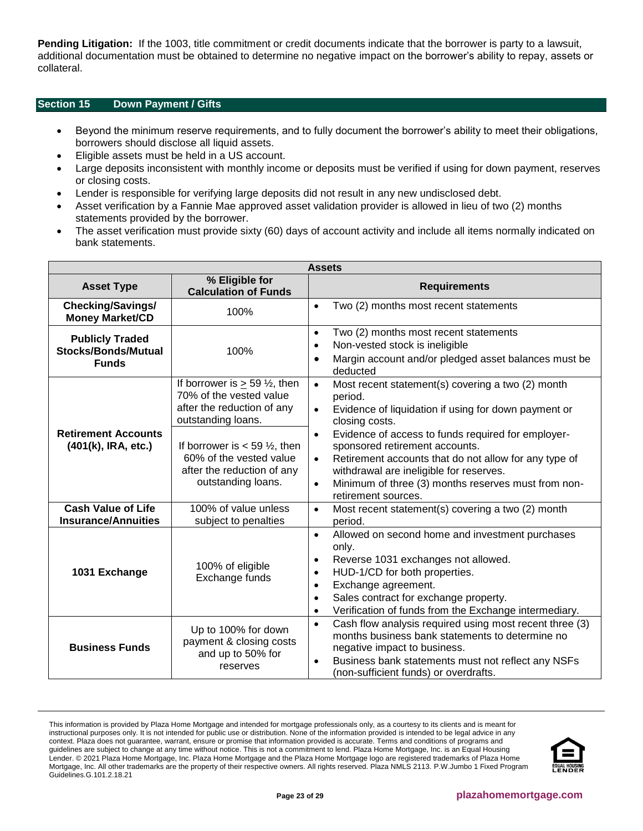**Pending Litigation:** If the 1003, title commitment or credit documents indicate that the borrower is party to a lawsuit, additional documentation must be obtained to determine no negative impact on the borrower's ability to repay, assets or collateral.

## <span id="page-22-0"></span>**Section 15 Down Payment / Gifts**

- Beyond the minimum reserve requirements, and to fully document the borrower's ability to meet their obligations, borrowers should disclose all liquid assets.
- Eligible assets must be held in a US account.
- Large deposits inconsistent with monthly income or deposits must be verified if using for down payment, reserves or closing costs.
- Lender is responsible for verifying large deposits did not result in any new undisclosed debt.
- Asset verification by a Fannie Mae approved asset validation provider is allowed in lieu of two (2) months statements provided by the borrower.
- The asset verification must provide sixty (60) days of account activity and include all items normally indicated on bank statements.

| <b>Assets</b>                                                        |                                                                                                                              |                                                                                                                                                                                                                                                                                                                                         |
|----------------------------------------------------------------------|------------------------------------------------------------------------------------------------------------------------------|-----------------------------------------------------------------------------------------------------------------------------------------------------------------------------------------------------------------------------------------------------------------------------------------------------------------------------------------|
| <b>Asset Type</b>                                                    | % Eligible for<br><b>Calculation of Funds</b>                                                                                | <b>Requirements</b>                                                                                                                                                                                                                                                                                                                     |
| <b>Checking/Savings/</b><br><b>Money Market/CD</b>                   | 100%                                                                                                                         | Two (2) months most recent statements<br>$\bullet$                                                                                                                                                                                                                                                                                      |
| <b>Publicly Traded</b><br><b>Stocks/Bonds/Mutual</b><br><b>Funds</b> | 100%                                                                                                                         | Two (2) months most recent statements<br>$\bullet$<br>Non-vested stock is ineligible<br>$\bullet$<br>Margin account and/or pledged asset balances must be<br>$\bullet$<br>deducted                                                                                                                                                      |
|                                                                      | If borrower is $\geq$ 59 $\frac{1}{2}$ , then<br>70% of the vested value<br>after the reduction of any<br>outstanding loans. | Most recent statement(s) covering a two (2) month<br>$\bullet$<br>period.<br>Evidence of liquidation if using for down payment or<br>$\bullet$<br>closing costs.                                                                                                                                                                        |
| <b>Retirement Accounts</b><br>(401(k), IRA, etc.)                    | If borrower is $<$ 59 $\frac{1}{2}$ , then<br>60% of the vested value<br>after the reduction of any<br>outstanding loans.    | Evidence of access to funds required for employer-<br>$\bullet$<br>sponsored retirement accounts.<br>Retirement accounts that do not allow for any type of<br>$\bullet$<br>withdrawal are ineligible for reserves.<br>Minimum of three (3) months reserves must from non-<br>$\bullet$<br>retirement sources.                           |
| Cash Value of Life<br><b>Insurance/Annuities</b>                     | 100% of value unless<br>subject to penalties                                                                                 | Most recent statement(s) covering a two (2) month<br>$\bullet$<br>period.                                                                                                                                                                                                                                                               |
| 1031 Exchange                                                        | 100% of eligible<br>Exchange funds                                                                                           | Allowed on second home and investment purchases<br>$\bullet$<br>only.<br>Reverse 1031 exchanges not allowed.<br>$\bullet$<br>HUD-1/CD for both properties.<br>$\bullet$<br>Exchange agreement.<br>$\bullet$<br>Sales contract for exchange property.<br>$\bullet$<br>Verification of funds from the Exchange intermediary.<br>$\bullet$ |
| <b>Business Funds</b>                                                | Up to 100% for down<br>payment & closing costs<br>and up to 50% for<br>reserves                                              | Cash flow analysis required using most recent three (3)<br>$\bullet$<br>months business bank statements to determine no<br>negative impact to business.<br>Business bank statements must not reflect any NSFs<br>$\bullet$<br>(non-sufficient funds) or overdrafts.                                                                     |

This information is provided by Plaza Home Mortgage and intended for mortgage professionals only, as a courtesy to its clients and is meant for instructional purposes only. It is not intended for public use or distribution. None of the information provided is intended to be legal advice in any context. Plaza does not guarantee, warrant, ensure or promise that information provided is accurate. Terms and conditions of programs and guidelines are subject to change at any time without notice. This is not a commitment to lend. Plaza Home Mortgage, Inc. is an Equal Housing Lender. © 2021 Plaza Home Mortgage, Inc. Plaza Home Mortgage and the Plaza Home Mortgage logo are registered trademarks of Plaza Home Mortgage, Inc. All other trademarks are the property of their respective owners. All rights reserved. Plaza NMLS 2113. P.W.Jumbo 1 Fixed Program Guidelines.G.101.2.18.21

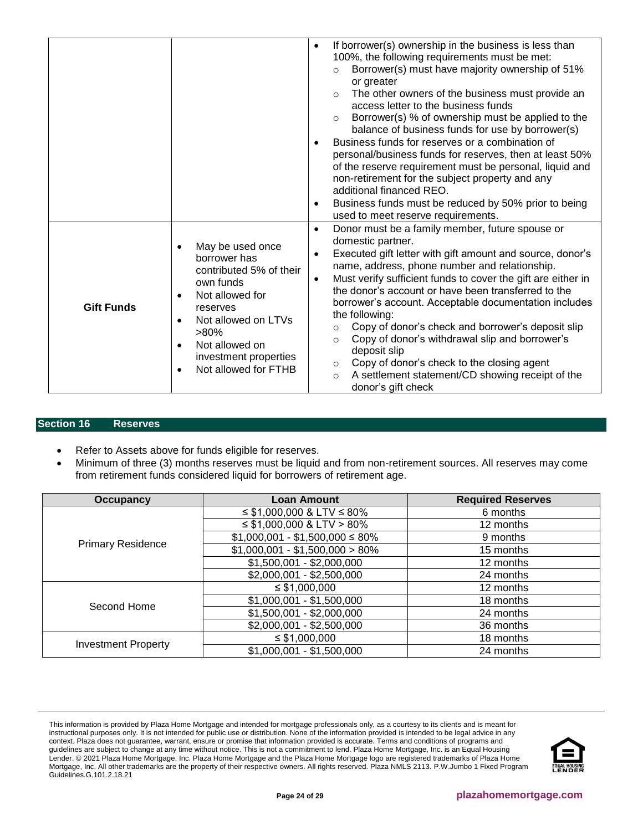|                   |                                                                                                                                                                                                                                                                               | If borrower(s) ownership in the business is less than<br>$\bullet$<br>100%, the following requirements must be met:<br>Borrower(s) must have majority ownership of 51%<br>$\circ$<br>or greater<br>The other owners of the business must provide an<br>$\circ$<br>access letter to the business funds<br>Borrower(s) % of ownership must be applied to the<br>$\circ$<br>balance of business funds for use by borrower(s)<br>Business funds for reserves or a combination of<br>$\bullet$<br>personal/business funds for reserves, then at least 50%<br>of the reserve requirement must be personal, liquid and<br>non-retirement for the subject property and any<br>additional financed REO.<br>Business funds must be reduced by 50% prior to being<br>$\bullet$<br>used to meet reserve requirements. |
|-------------------|-------------------------------------------------------------------------------------------------------------------------------------------------------------------------------------------------------------------------------------------------------------------------------|-----------------------------------------------------------------------------------------------------------------------------------------------------------------------------------------------------------------------------------------------------------------------------------------------------------------------------------------------------------------------------------------------------------------------------------------------------------------------------------------------------------------------------------------------------------------------------------------------------------------------------------------------------------------------------------------------------------------------------------------------------------------------------------------------------------|
| <b>Gift Funds</b> | May be used once<br>$\bullet$<br>borrower has<br>contributed 5% of their<br>own funds<br>Not allowed for<br>$\bullet$<br>reserves<br>Not allowed on LTVs<br>$\bullet$<br>$>80\%$<br>Not allowed on<br>$\bullet$<br>investment properties<br>Not allowed for FTHB<br>$\bullet$ | Donor must be a family member, future spouse or<br>$\bullet$<br>domestic partner.<br>Executed gift letter with gift amount and source, donor's<br>$\bullet$<br>name, address, phone number and relationship.<br>Must verify sufficient funds to cover the gift are either in<br>$\bullet$<br>the donor's account or have been transferred to the<br>borrower's account. Acceptable documentation includes<br>the following:<br>Copy of donor's check and borrower's deposit slip<br>$\circ$<br>Copy of donor's withdrawal slip and borrower's<br>$\circ$<br>deposit slip<br>Copy of donor's check to the closing agent<br>$\circ$<br>A settlement statement/CD showing receipt of the<br>$\circ$<br>donor's gift check                                                                                    |

## <span id="page-23-0"></span>**Section 16 Reserves**

- Refer to Assets above for funds eligible for reserves.
- Minimum of three (3) months reserves must be liquid and from non-retirement sources. All reserves may come from retirement funds considered liquid for borrowers of retirement age.

| Occupancy                  | <b>Loan Amount</b>                  | <b>Required Reserves</b> |
|----------------------------|-------------------------------------|--------------------------|
| <b>Primary Residence</b>   | $\leq$ \$1,000,000 & LTV $\leq$ 80% | 6 months                 |
|                            | $\leq$ \$1,000,000 & LTV > 80%      | 12 months                |
|                            | $$1,000,001 - $1,500,000 \le 80\%$  | 9 months                 |
|                            | $$1,000,001 - $1,500,000 > 80\%$    | 15 months                |
|                            | $$1,500,001 - $2,000,000$           | 12 months                |
|                            | $$2,000,001 - $2,500,000$           | 24 months                |
| Second Home                | $\leq$ \$1,000,000                  | 12 months                |
|                            | $$1,000,001 - $1,500,000$           | 18 months                |
|                            | $$1,500,001 - $2,000,000$           | 24 months                |
|                            | $$2,000,001 - $2,500,000$           | 36 months                |
|                            | $\leq$ \$1,000,000                  | 18 months                |
| <b>Investment Property</b> | $$1,000,001 - $1,500,000$           | 24 months                |

This information is provided by Plaza Home Mortgage and intended for mortgage professionals only, as a courtesy to its clients and is meant for instructional purposes only. It is not intended for public use or distribution. None of the information provided is intended to be legal advice in any context. Plaza does not guarantee, warrant, ensure or promise that information provided is accurate. Terms and conditions of programs and guidelines are subject to change at any time without notice. This is not a commitment to lend. Plaza Home Mortgage, Inc. is an Equal Housing Lender. © 2021 Plaza Home Mortgage, Inc. Plaza Home Mortgage and the Plaza Home Mortgage logo are registered trademarks of Plaza Home Mortgage, Inc. All other trademarks are the property of their respective owners. All rights reserved. Plaza NMLS 2113. P.W.Jumbo 1 Fixed Program Guidelines.G.101.2.18.21

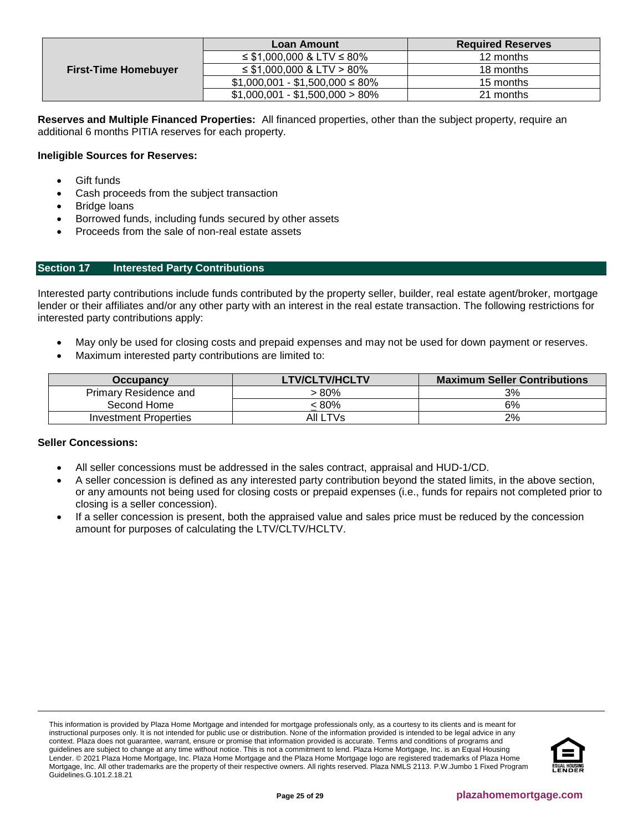| <b>First-Time Homebuyer</b> | Loan Amount                         | <b>Required Reserves</b> |
|-----------------------------|-------------------------------------|--------------------------|
|                             | $\leq$ \$1,000,000 & LTV $\leq$ 80% | 12 months                |
|                             | $\leq$ \$1,000,000 & LTV > 80%      | 18 months                |
|                             | $$1,000,001 - $1,500,000 \le 80\%$  | 15 months                |
|                             | $$1,000,001 - $1,500,000 > 80\%$    | 21 months                |

**Reserves and Multiple Financed Properties:** All financed properties, other than the subject property, require an additional 6 months PITIA reserves for each property.

## **Ineligible Sources for Reserves:**

- **Gift funds**
- Cash proceeds from the subject transaction
- Bridge loans
- Borrowed funds, including funds secured by other assets
- Proceeds from the sale of non-real estate assets

## <span id="page-24-0"></span>**Section 17 Interested Party Contributions**

Interested party contributions include funds contributed by the property seller, builder, real estate agent/broker, mortgage lender or their affiliates and/or any other party with an interest in the real estate transaction. The following restrictions for interested party contributions apply:

- May only be used for closing costs and prepaid expenses and may not be used for down payment or reserves.
- Maximum interested party contributions are limited to:

| <b>Occupancy</b>             | <b>LTV/CLTV/HCLTV</b> | <b>Maximum Seller Contributions</b> |
|------------------------------|-----------------------|-------------------------------------|
| <b>Primary Residence and</b> | 80% >                 | 3%                                  |
| Second Home                  | : 80%                 | 6%                                  |
| Investment Properties        | AII LTVs              | 2%                                  |

## **Seller Concessions:**

- All seller concessions must be addressed in the sales contract, appraisal and HUD-1/CD.
- A seller concession is defined as any interested party contribution beyond the stated limits, in the above section, or any amounts not being used for closing costs or prepaid expenses (i.e., funds for repairs not completed prior to closing is a seller concession).
- If a seller concession is present, both the appraised value and sales price must be reduced by the concession amount for purposes of calculating the LTV/CLTV/HCLTV.

This information is provided by Plaza Home Mortgage and intended for mortgage professionals only, as a courtesy to its clients and is meant for instructional purposes only. It is not intended for public use or distribution. None of the information provided is intended to be legal advice in any context. Plaza does not guarantee, warrant, ensure or promise that information provided is accurate. Terms and conditions of programs and guidelines are subject to change at any time without notice. This is not a commitment to lend. Plaza Home Mortgage, Inc. is an Equal Housing Lender. © 2021 Plaza Home Mortgage, Inc. Plaza Home Mortgage and the Plaza Home Mortgage logo are registered trademarks of Plaza Home Mortgage, Inc. All other trademarks are the property of their respective owners. All rights reserved. Plaza NMLS 2113. P.W.Jumbo 1 Fixed Program Guidelines.G.101.2.18.21

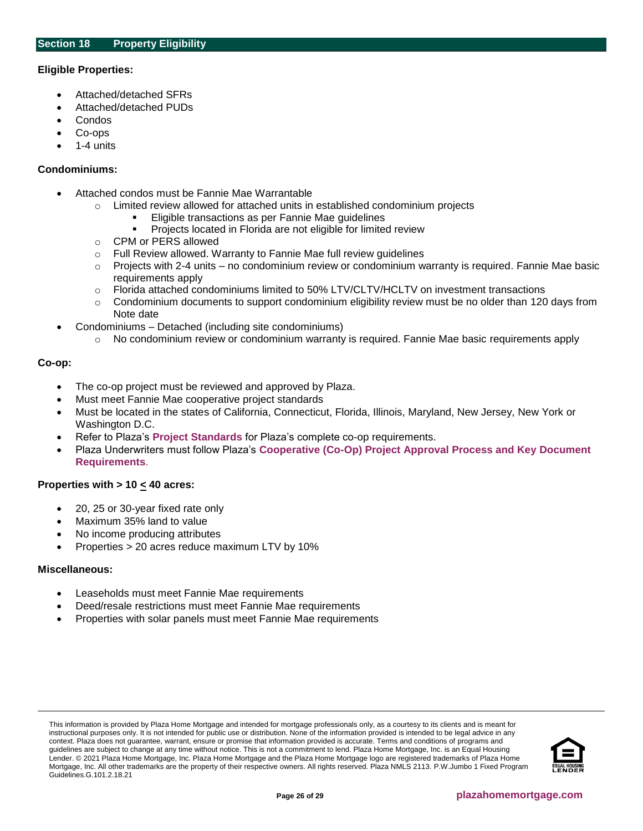## <span id="page-25-0"></span>**Eligible Properties:**

- Attached/detached SFRs
- Attached/detached PUDs
- Condos
- Co-ops
- 1-4 units

#### **Condominiums:**

- Attached condos must be Fannie Mae Warrantable
	- o Limited review allowed for attached units in established condominium projects
		- Eligible transactions as per Fannie Mae guidelines
			- Projects located in Florida are not eligible for limited review
	- o CPM or PERS allowed
	- o Full Review allowed. Warranty to Fannie Mae full review guidelines
	- $\circ$  Projects with 2-4 units no condominium review or condominium warranty is required. Fannie Mae basic requirements apply
	- o Florida attached condominiums limited to 50% LTV/CLTV/HCLTV on investment transactions
	- $\circ$  Condominium documents to support condominium eligibility review must be no older than 120 days from Note date
- Condominiums Detached (including site condominiums)
	- No condominium review or condominium warranty is required. Fannie Mae basic requirements apply

## **Co-op:**

- The co-op project must be reviewed and approved by Plaza.
- Must meet Fannie Mae cooperative project standards
- Must be located in the states of California, Connecticut, Florida, Illinois, Maryland, New Jersey, New York or Washington D.C.
- Refer to Plaza's **[Project Standards](https://resourcecenter.plazahomemortgage.com/placli/All/1C8504812F19222A07257D6B006262D7)** for Plaza's complete co-op requirements.
- Plaza Underwriters must follow Plaza's **[Cooperative \(Co-Op\) Project Approval Process and Key Document](https://resourcecenter.plazahomemortgage.com/PHMIDocPublisher.nsf/0/2DA21D6DDDC485C407257D5C00693834)  [Requirements](https://resourcecenter.plazahomemortgage.com/PHMIDocPublisher.nsf/0/2DA21D6DDDC485C407257D5C00693834)**.

## **Properties with > 10 < 40 acres:**

- 20, 25 or 30-year fixed rate only
- Maximum 35% land to value
- No income producing attributes
- Properties > 20 acres reduce maximum LTV by 10%

#### **Miscellaneous:**

- Leaseholds must meet Fannie Mae requirements
- Deed/resale restrictions must meet Fannie Mae requirements
- Properties with solar panels must meet Fannie Mae requirements

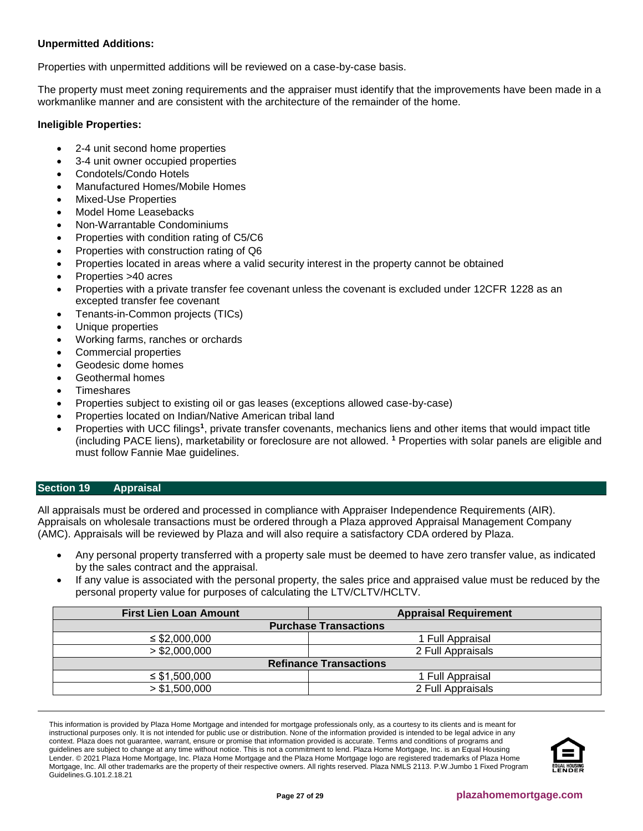## **Unpermitted Additions:**

Properties with unpermitted additions will be reviewed on a case-by-case basis.

The property must meet zoning requirements and the appraiser must identify that the improvements have been made in a workmanlike manner and are consistent with the architecture of the remainder of the home.

## **Ineligible Properties:**

- 2-4 unit second home properties
- 3-4 unit owner occupied properties
- Condotels/Condo Hotels
- Manufactured Homes/Mobile Homes
- Mixed-Use Properties
- Model Home Leasebacks
- Non-Warrantable Condominiums
- Properties with condition rating of C5/C6
- Properties with construction rating of Q6
- Properties located in areas where a valid security interest in the property cannot be obtained
- Properties >40 acres
- Properties with a private transfer fee covenant unless the covenant is excluded under 12CFR 1228 as an excepted transfer fee covenant
- Tenants-in-Common projects (TICs)
- Unique properties
- Working farms, ranches or orchards
- Commercial properties
- Geodesic dome homes
- Geothermal homes
- **Timeshares**
- Properties subject to existing oil or gas leases (exceptions allowed case-by-case)
- Properties located on Indian/Native American tribal land
- Properties with UCC filings<sup>1</sup>, private transfer covenants, mechanics liens and other items that would impact title (including PACE liens), marketability or foreclosure are not allowed. **<sup>1</sup>** Properties with solar panels are eligible and must follow Fannie Mae guidelines.

## <span id="page-26-0"></span>**Section 19 Appraisal**

All appraisals must be ordered and processed in compliance with Appraiser Independence Requirements (AIR). Appraisals on wholesale transactions must be ordered through a Plaza approved Appraisal Management Company (AMC). Appraisals will be reviewed by Plaza and will also require a satisfactory CDA ordered by Plaza.

- Any personal property transferred with a property sale must be deemed to have zero transfer value, as indicated by the sales contract and the appraisal.
- If any value is associated with the personal property, the sales price and appraised value must be reduced by the personal property value for purposes of calculating the LTV/CLTV/HCLTV.

| <b>First Lien Loan Amount</b> | <b>Appraisal Requirement</b> |  |  |
|-------------------------------|------------------------------|--|--|
| <b>Purchase Transactions</b>  |                              |  |  |
| $\leq$ \$2,000,000            | 1 Full Appraisal             |  |  |
| > \$2,000,000                 | 2 Full Appraisals            |  |  |
| <b>Refinance Transactions</b> |                              |  |  |
| $\leq$ \$1,500,000            | 1 Full Appraisal             |  |  |
| > \$1,500,000                 | 2 Full Appraisals            |  |  |

This information is provided by Plaza Home Mortgage and intended for mortgage professionals only, as a courtesy to its clients and is meant for instructional purposes only. It is not intended for public use or distribution. None of the information provided is intended to be legal advice in any context. Plaza does not guarantee, warrant, ensure or promise that information provided is accurate. Terms and conditions of programs and guidelines are subject to change at any time without notice. This is not a commitment to lend. Plaza Home Mortgage, Inc. is an Equal Housing Lender. © 2021 Plaza Home Mortgage, Inc. Plaza Home Mortgage and the Plaza Home Mortgage logo are registered trademarks of Plaza Home Mortgage, Inc. All other trademarks are the property of their respective owners. All rights reserved. Plaza NMLS 2113. P.W.Jumbo 1 Fixed Program Guidelines.G.101.2.18.21

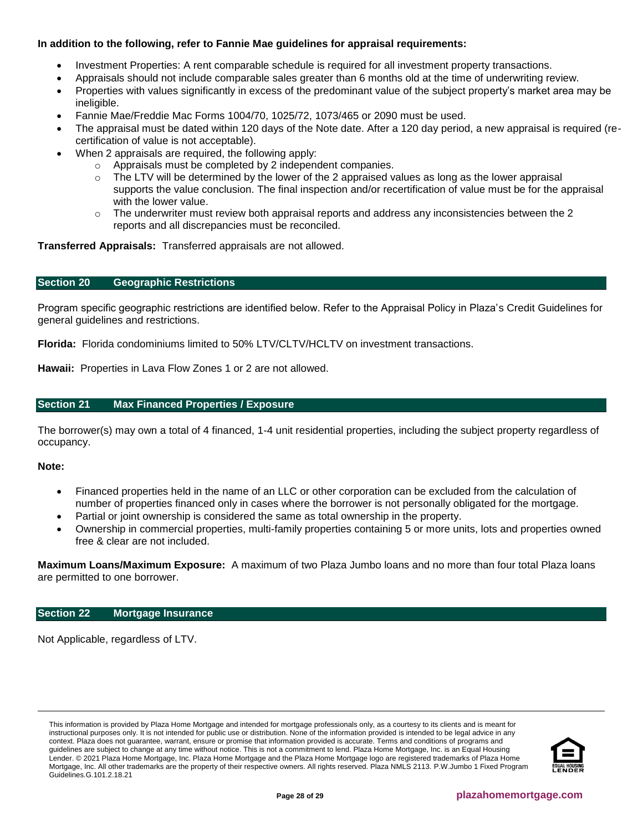## **In addition to the following, refer to Fannie Mae guidelines for appraisal requirements:**

- Investment Properties: A rent comparable schedule is required for all investment property transactions.
	- Appraisals should not include comparable sales greater than 6 months old at the time of underwriting review.
- Properties with values significantly in excess of the predominant value of the subject property's market area may be ineligible.
- Fannie Mae/Freddie Mac Forms 1004/70, 1025/72, 1073/465 or 2090 must be used.
- The appraisal must be dated within 120 days of the Note date. After a 120 day period, a new appraisal is required (recertification of value is not acceptable).
- When 2 appraisals are required, the following apply:
	- o Appraisals must be completed by 2 independent companies.
	- $\circ$  The LTV will be determined by the lower of the 2 appraised values as long as the lower appraisal supports the value conclusion. The final inspection and/or recertification of value must be for the appraisal with the lower value.
	- $\circ$  The underwriter must review both appraisal reports and address any inconsistencies between the 2 reports and all discrepancies must be reconciled.

**Transferred Appraisals:** Transferred appraisals are not allowed.

#### <span id="page-27-2"></span>**Section 20 Geographic Restrictions**

Program specific geographic restrictions are identified below. Refer to the Appraisal Policy in Plaza's Credit Guidelines for general guidelines and restrictions.

**Florida:** Florida condominiums limited to 50% LTV/CLTV/HCLTV on investment transactions.

**Hawaii:** Properties in Lava Flow Zones 1 or 2 are not allowed.

## <span id="page-27-0"></span>**Section 21 Max Financed Properties / Exposure**

The borrower(s) may own a total of 4 financed, 1-4 unit residential properties, including the subject property regardless of occupancy.

#### **Note:**

- Financed properties held in the name of an LLC or other corporation can be excluded from the calculation of number of properties financed only in cases where the borrower is not personally obligated for the mortgage.
- Partial or joint ownership is considered the same as total ownership in the property.
- Ownership in commercial properties, multi-family properties containing 5 or more units, lots and properties owned free & clear are not included.

**Maximum Loans/Maximum Exposure:** A maximum of two Plaza Jumbo loans and no more than four total Plaza loans are permitted to one borrower.

#### <span id="page-27-1"></span>**Section 22 Mortgage Insurance**

Not Applicable, regardless of LTV.

This information is provided by Plaza Home Mortgage and intended for mortgage professionals only, as a courtesy to its clients and is meant for instructional purposes only. It is not intended for public use or distribution. None of the information provided is intended to be legal advice in any context. Plaza does not guarantee, warrant, ensure or promise that information provided is accurate. Terms and conditions of programs and guidelines are subject to change at any time without notice. This is not a commitment to lend. Plaza Home Mortgage, Inc. is an Equal Housing Lender. © 2021 Plaza Home Mortgage, Inc. Plaza Home Mortgage and the Plaza Home Mortgage logo are registered trademarks of Plaza Home Mortgage, Inc. All other trademarks are the property of their respective owners. All rights reserved. Plaza NMLS 2113. P.W.Jumbo 1 Fixed Program Guidelines.G.101.2.18.21